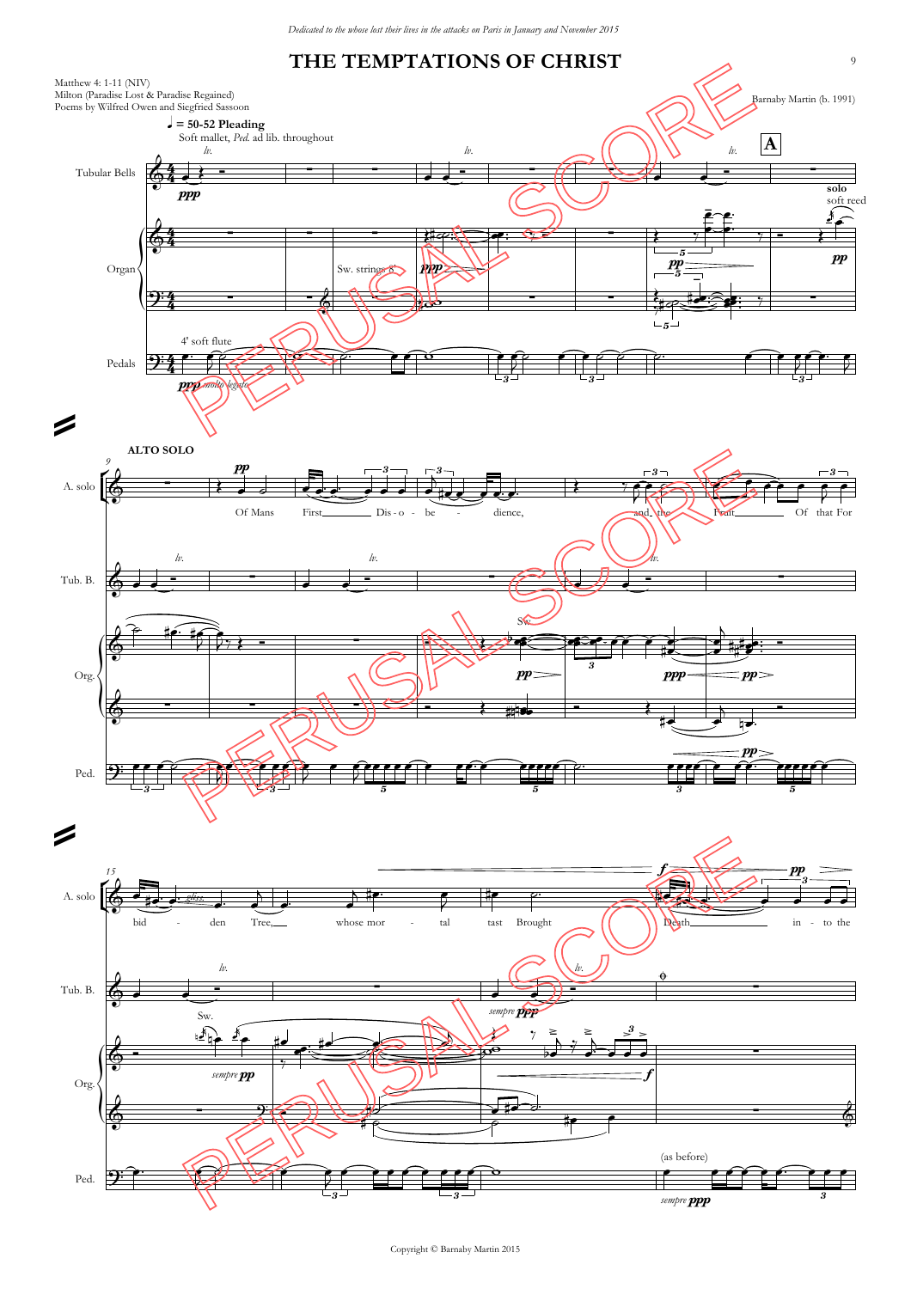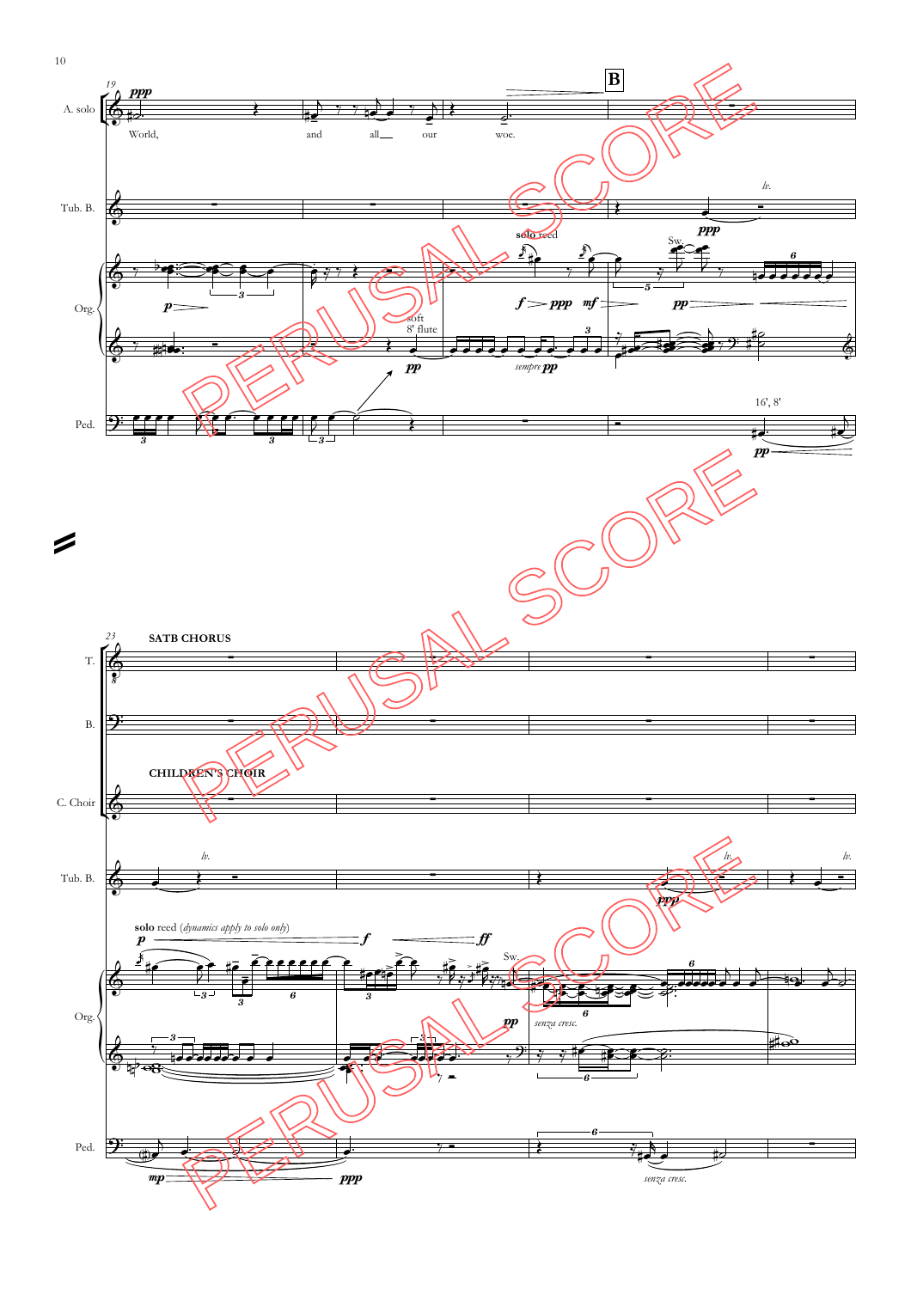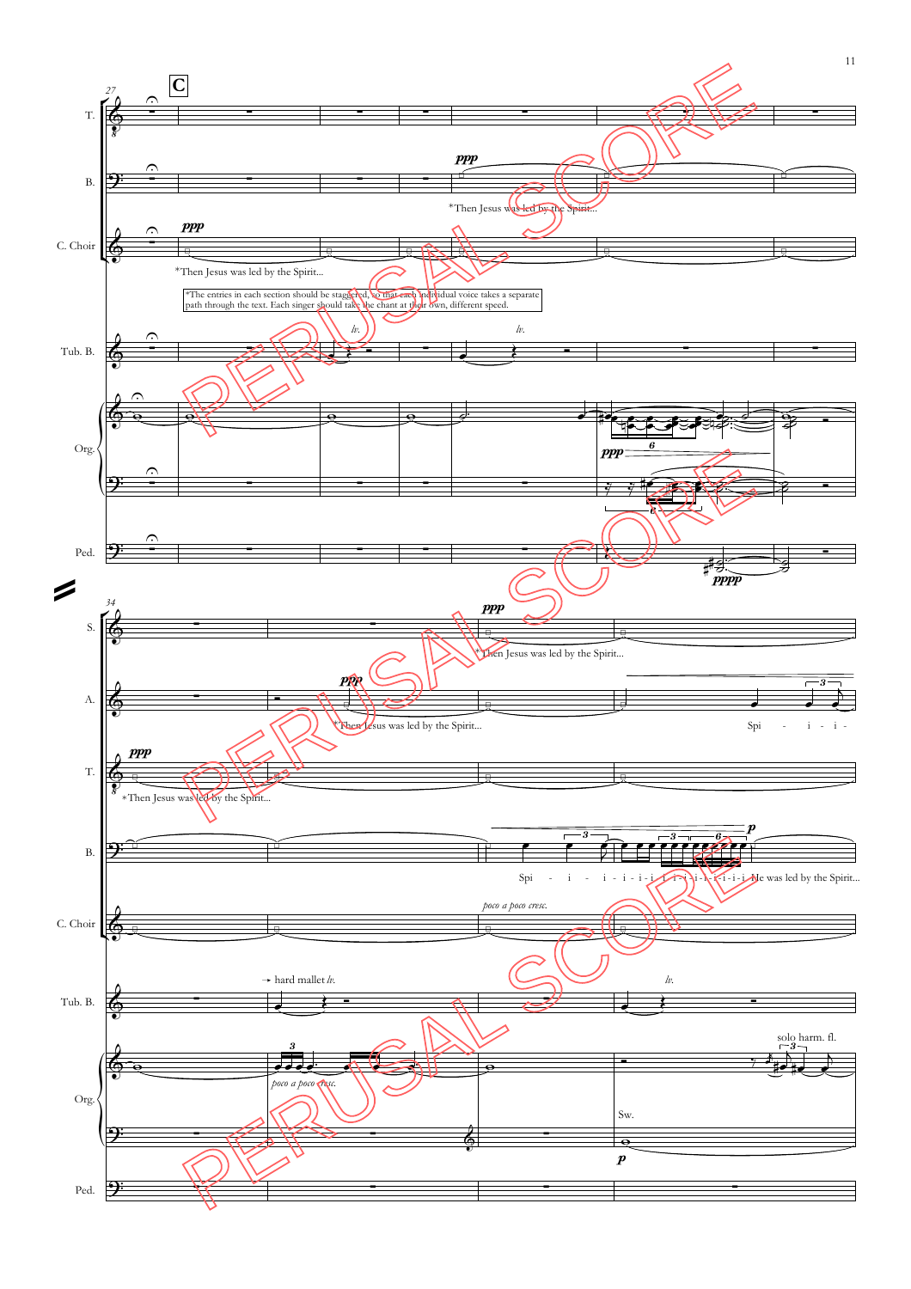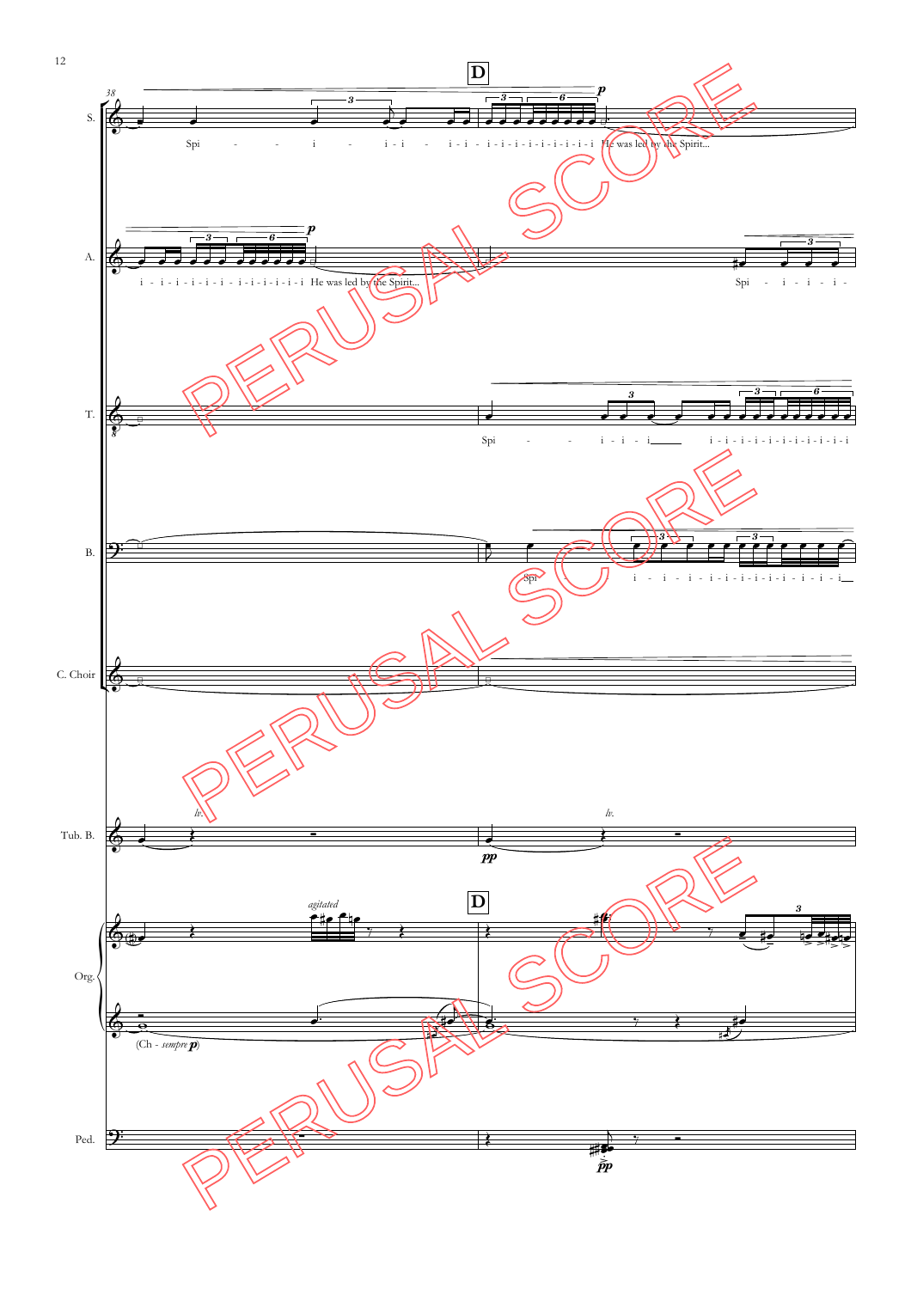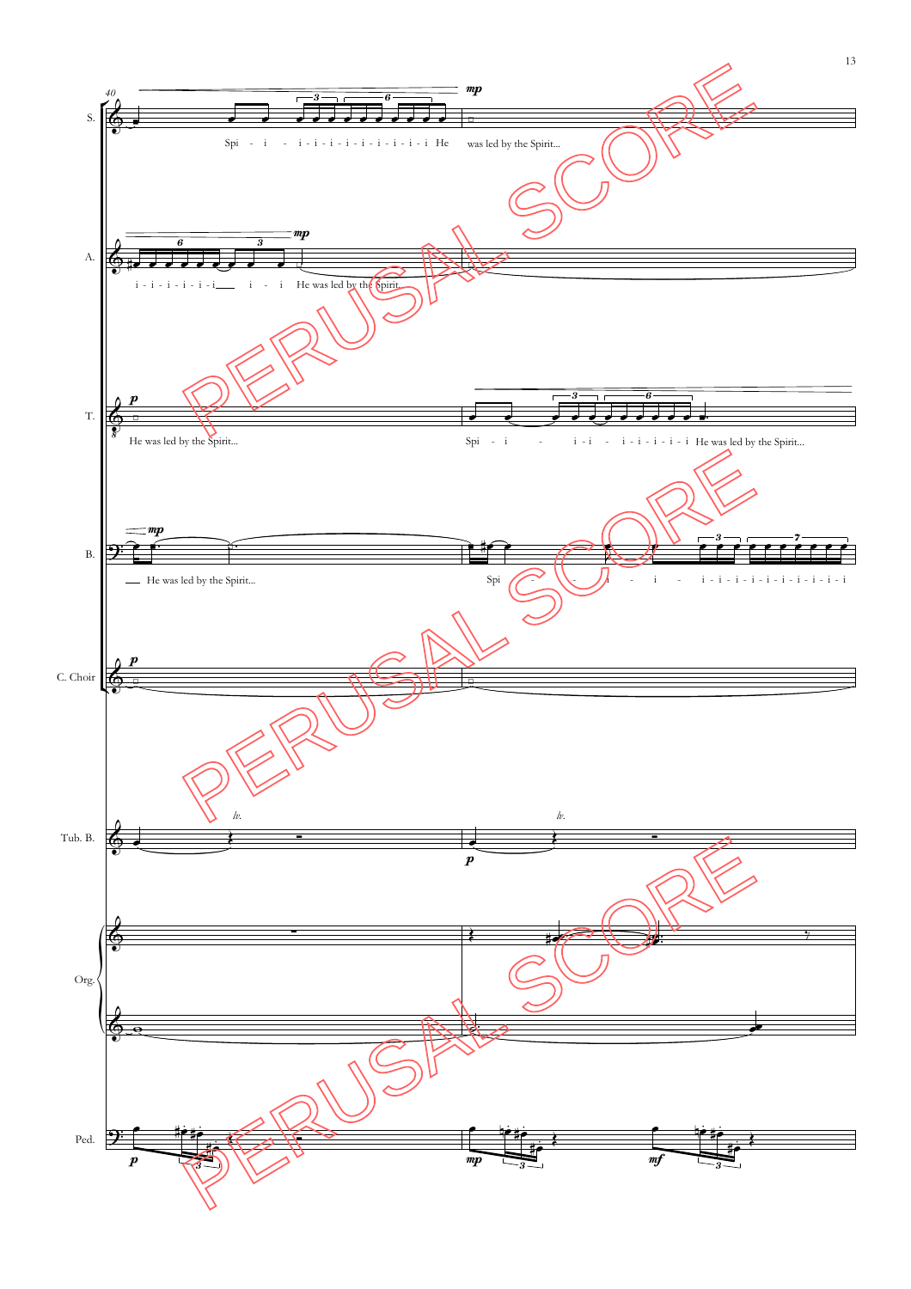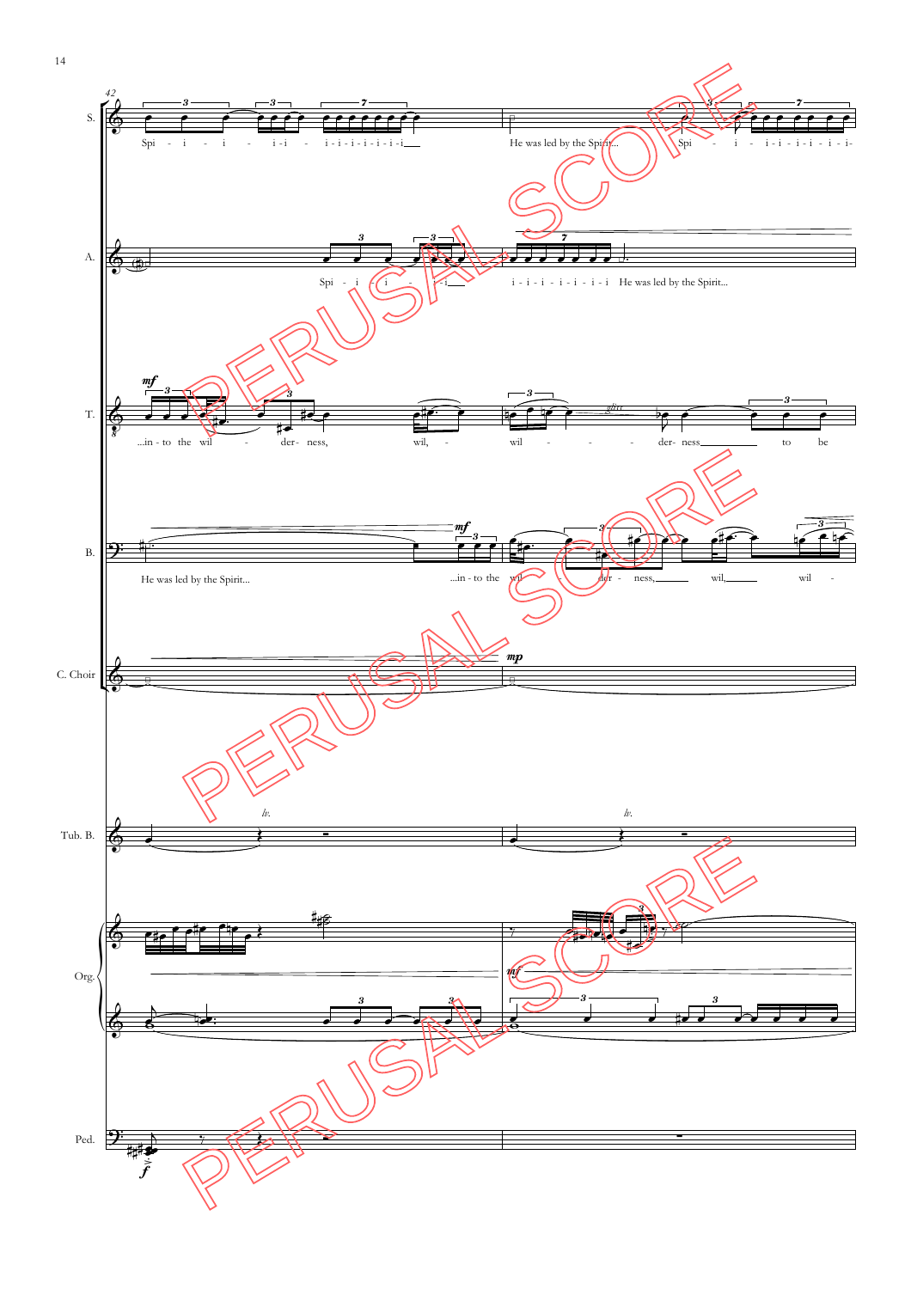

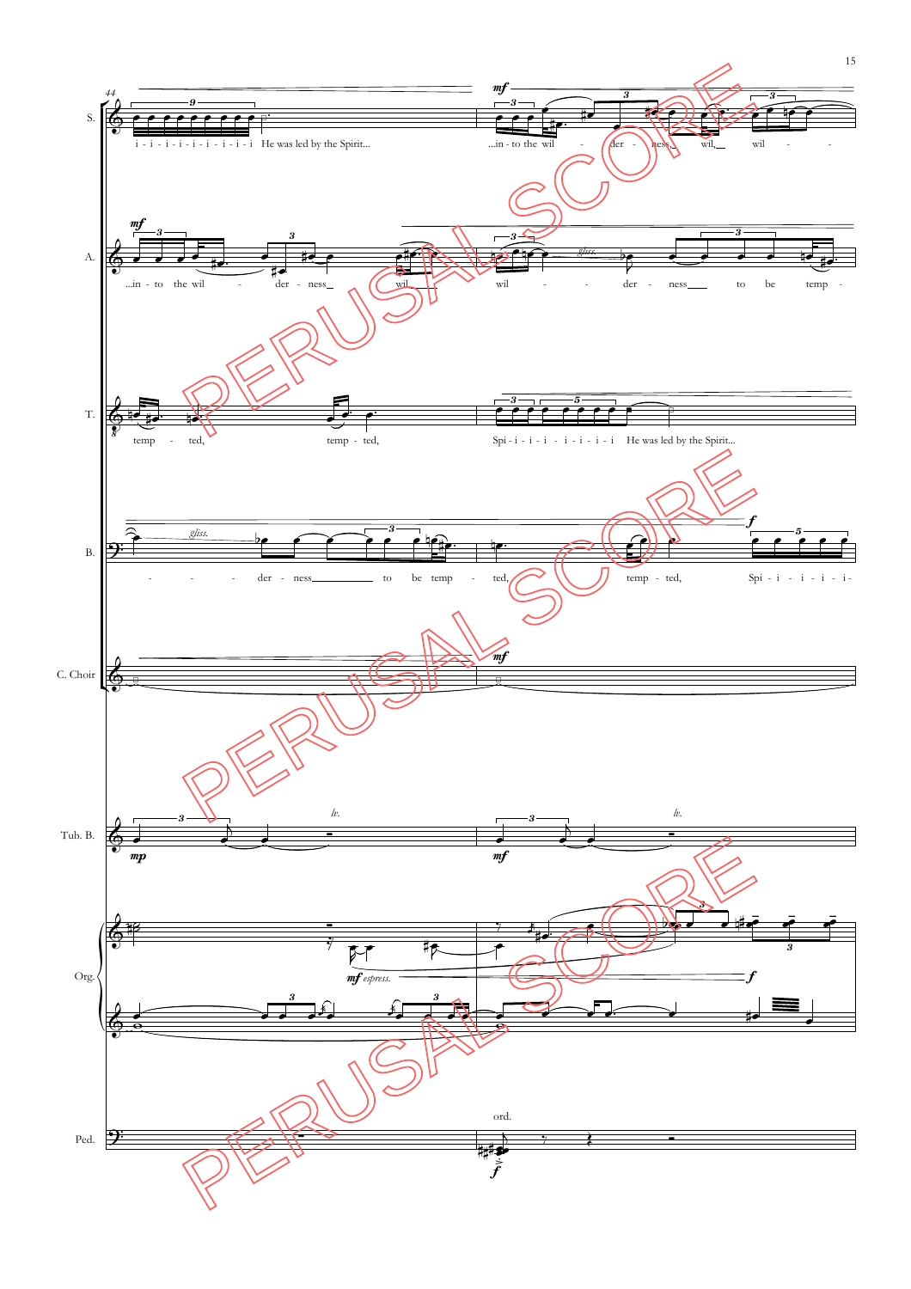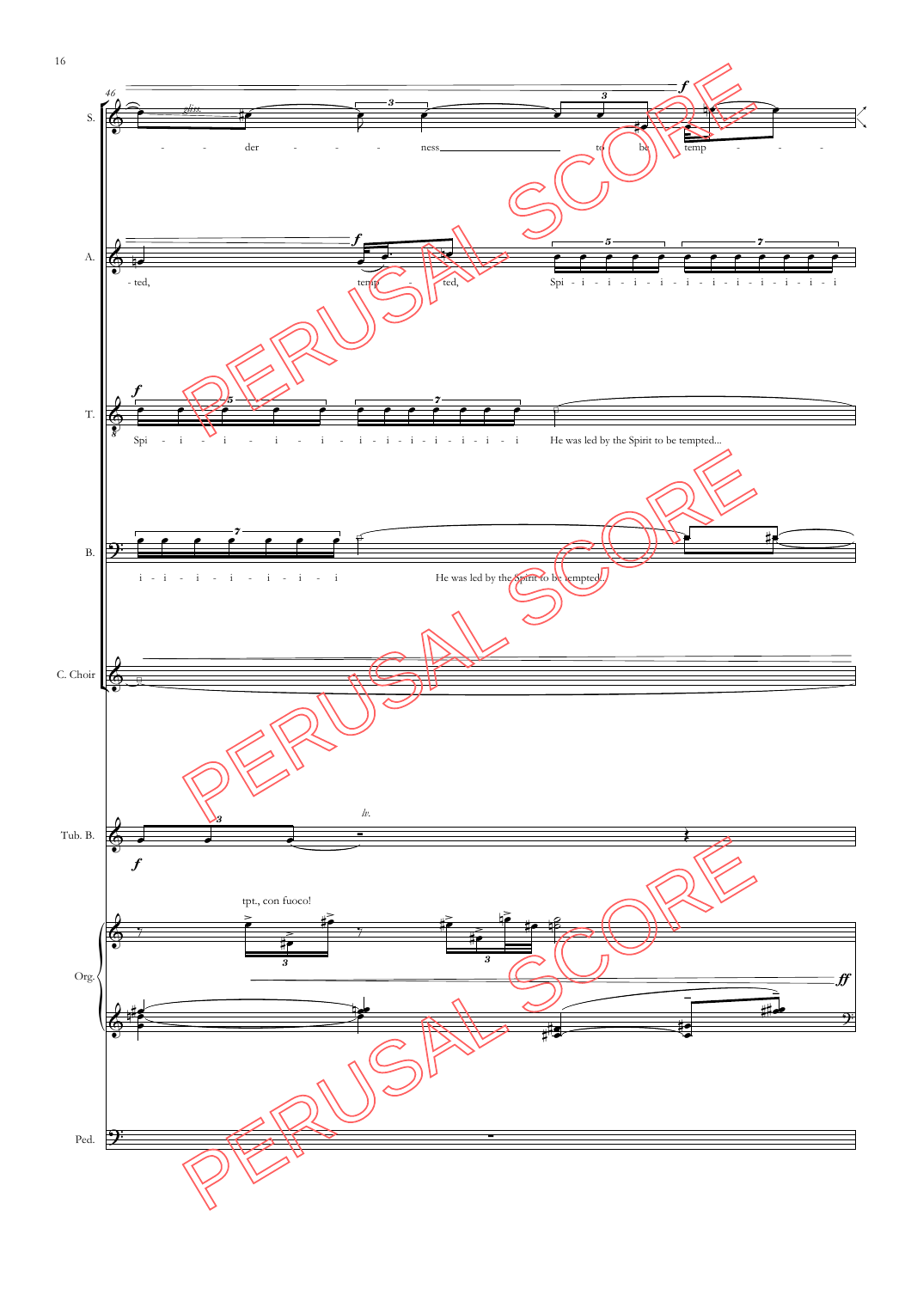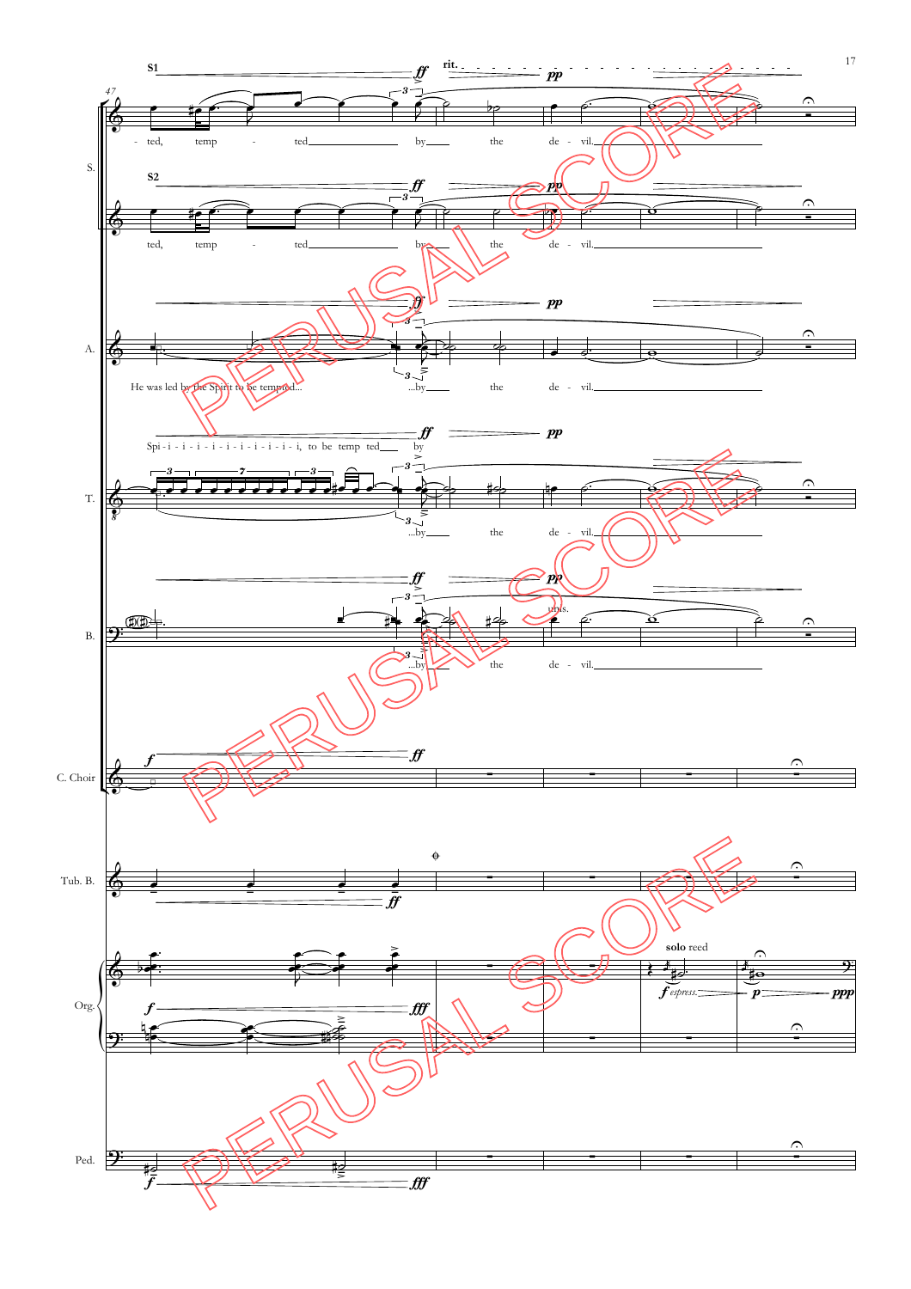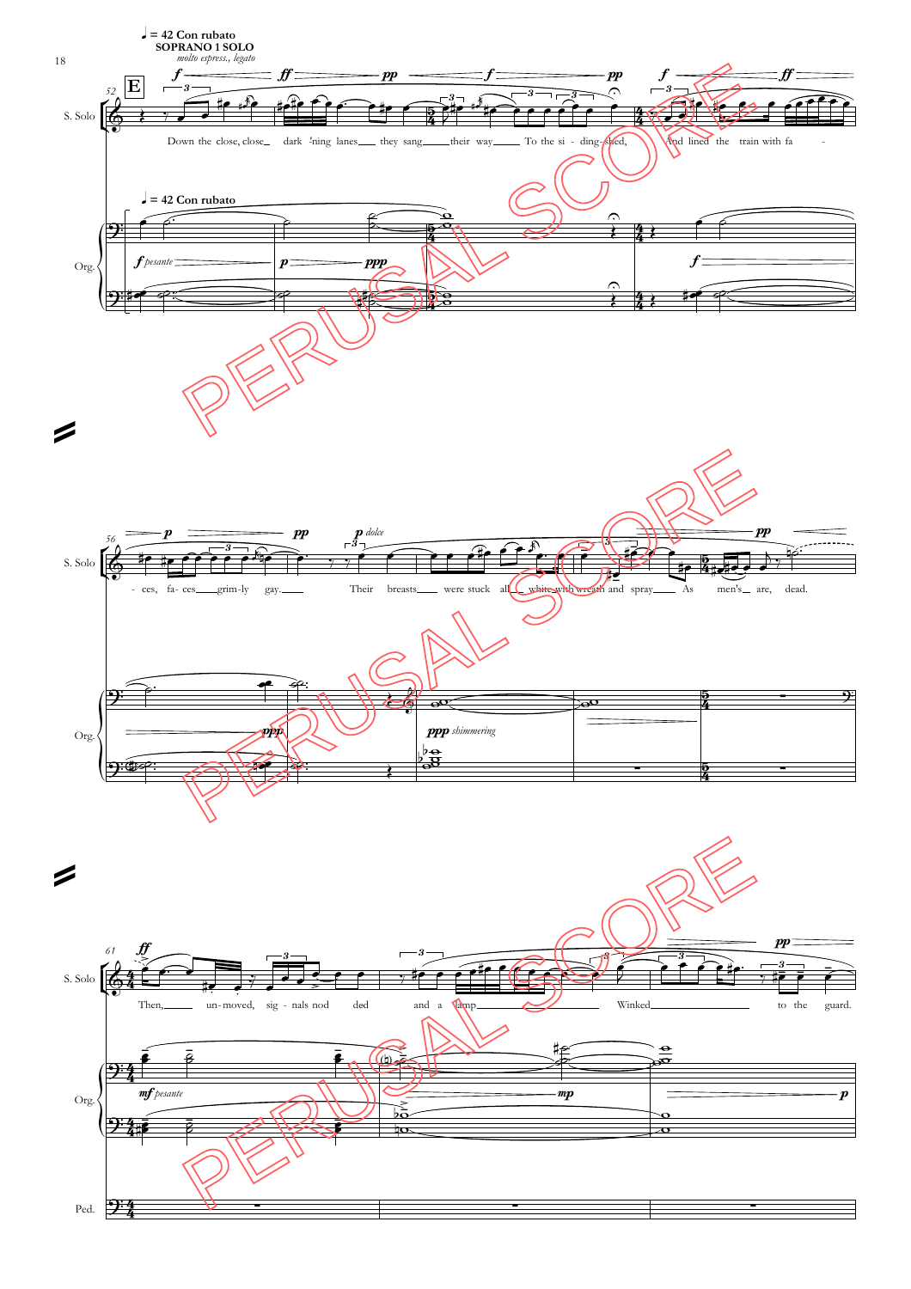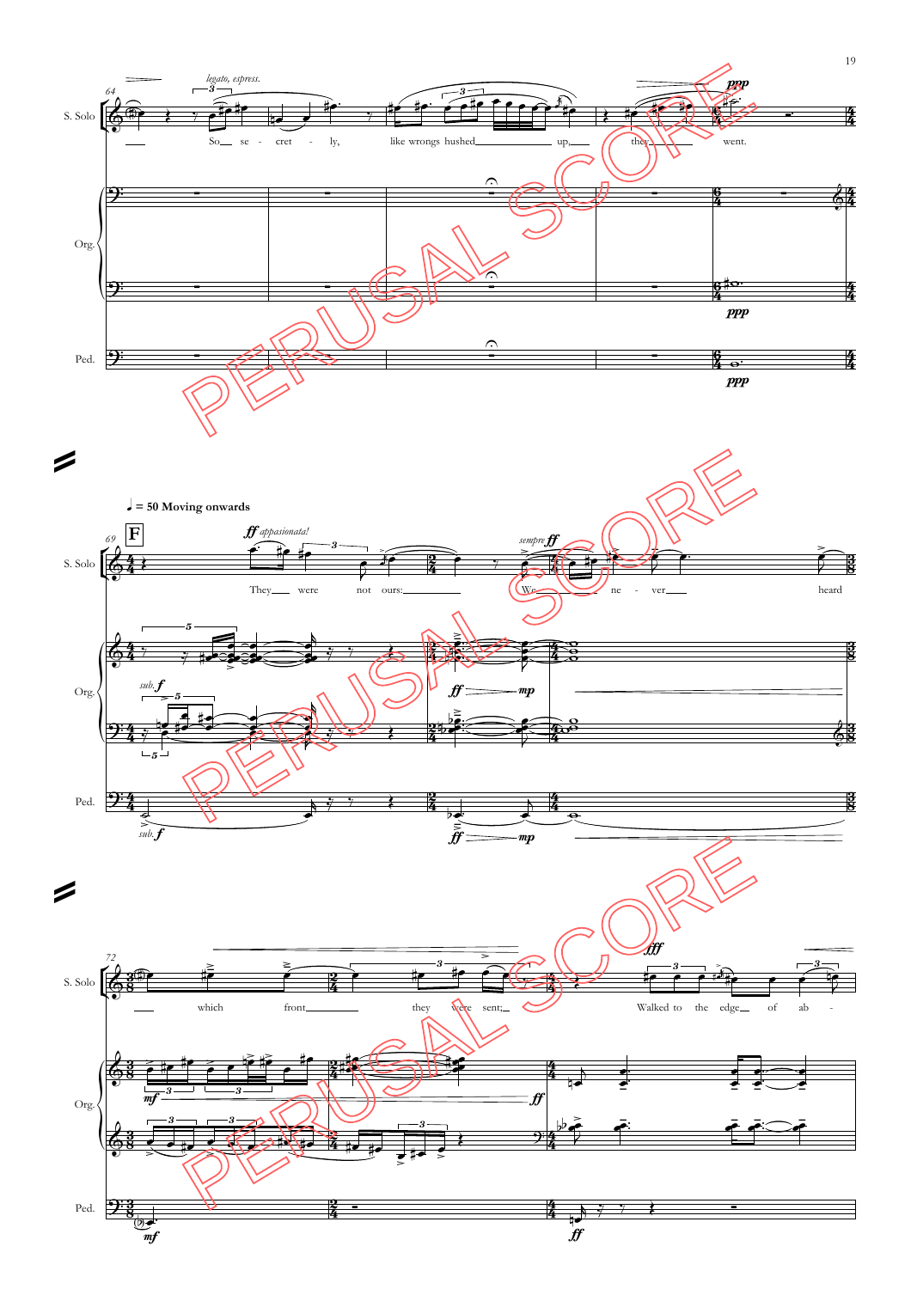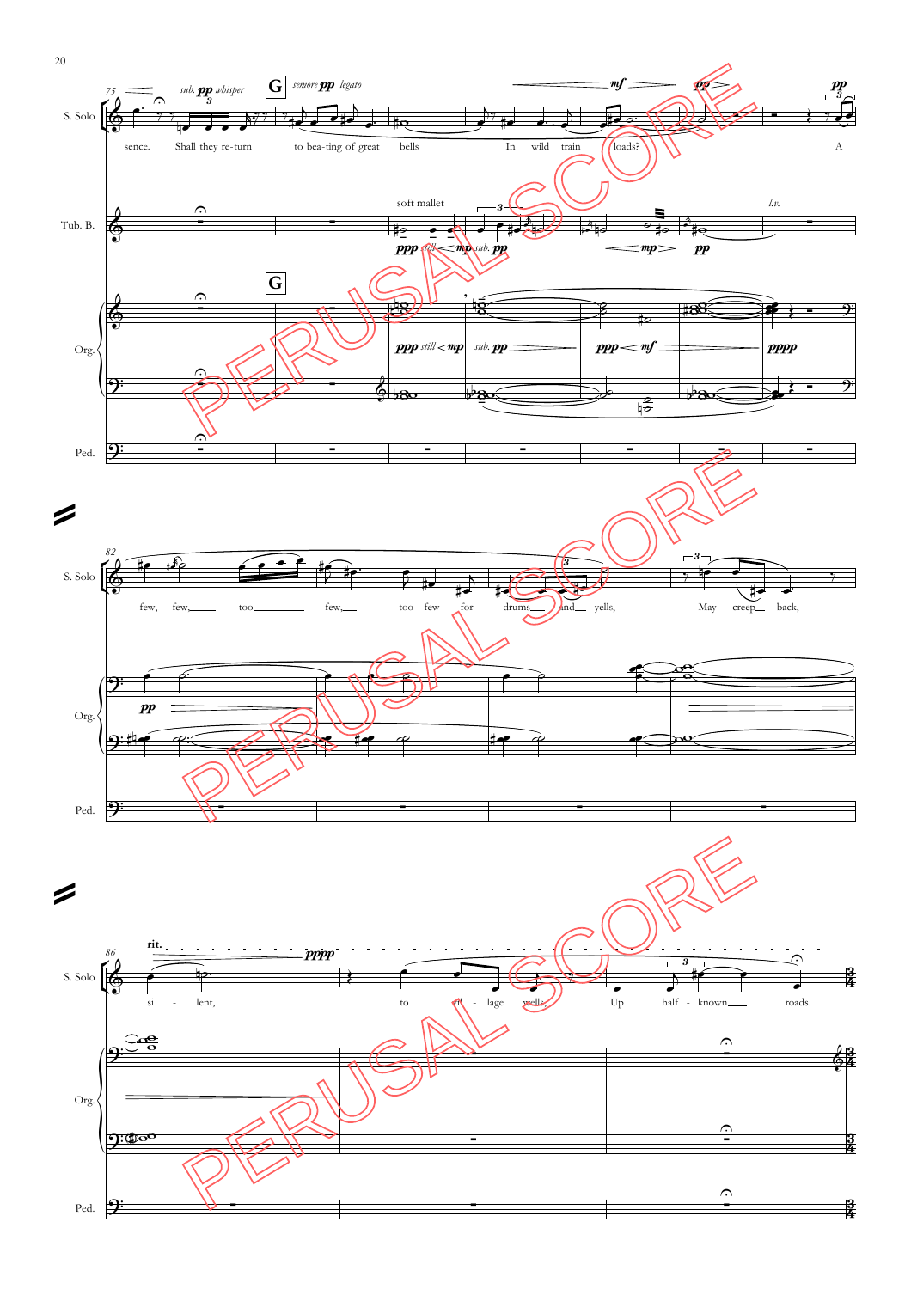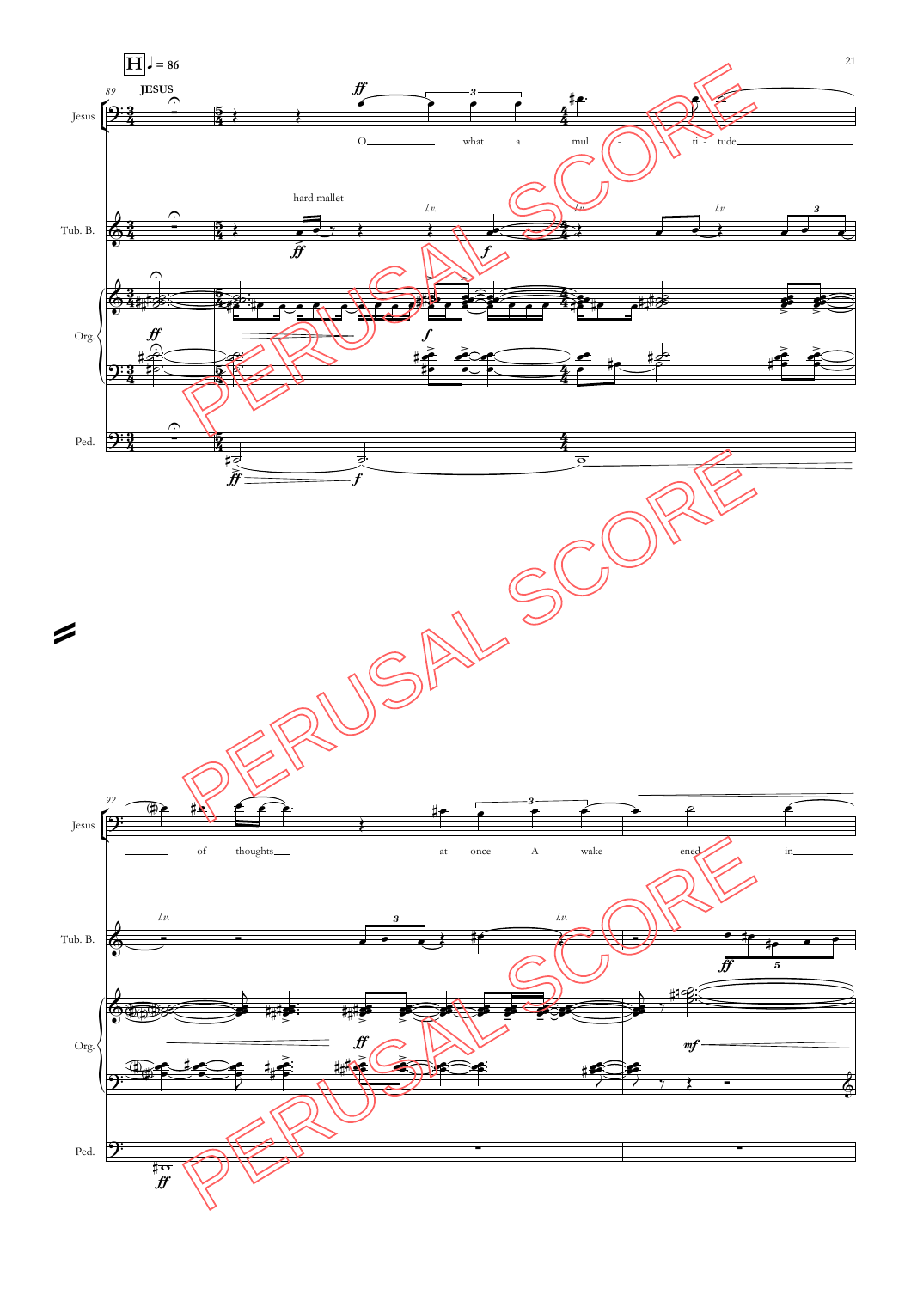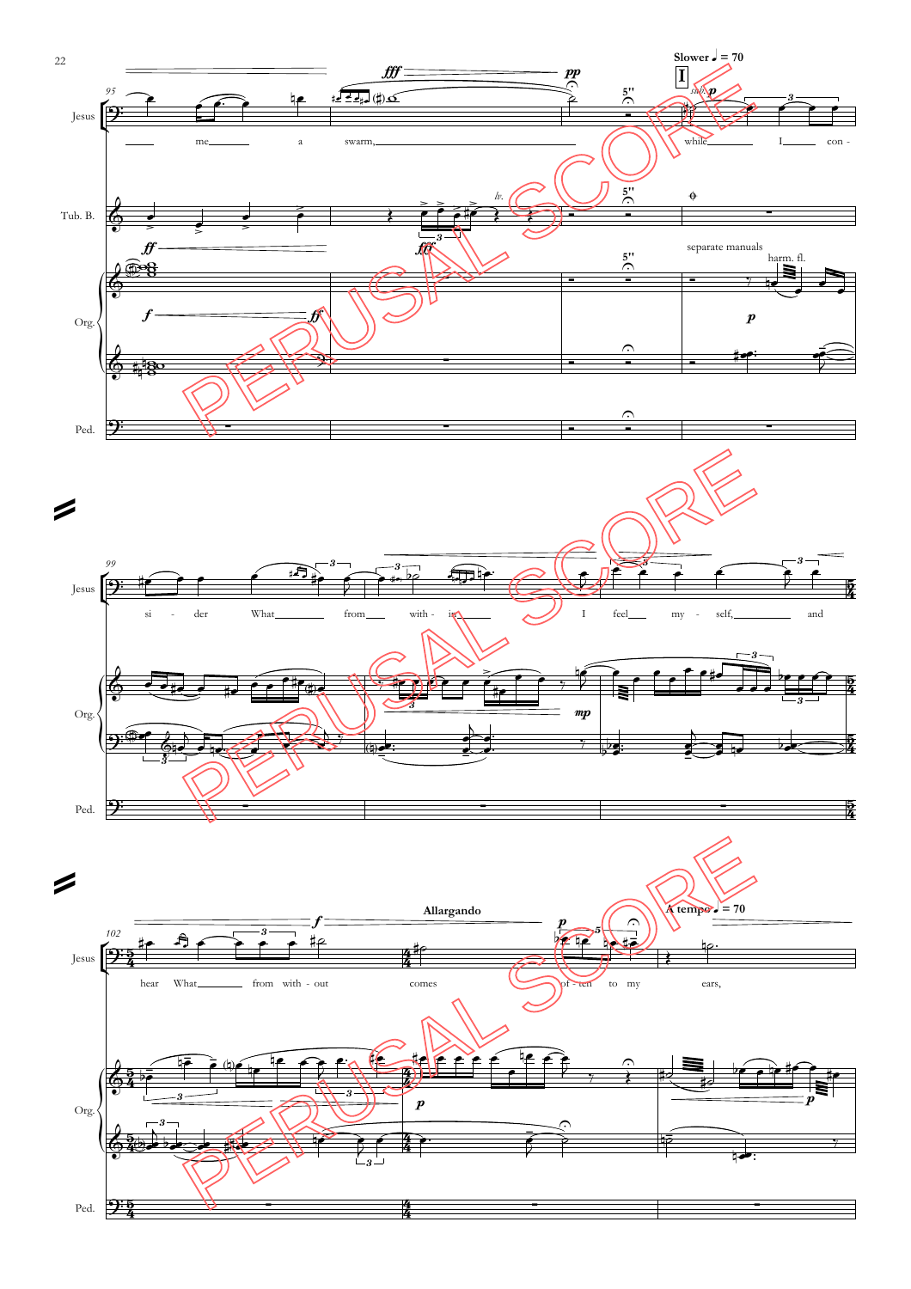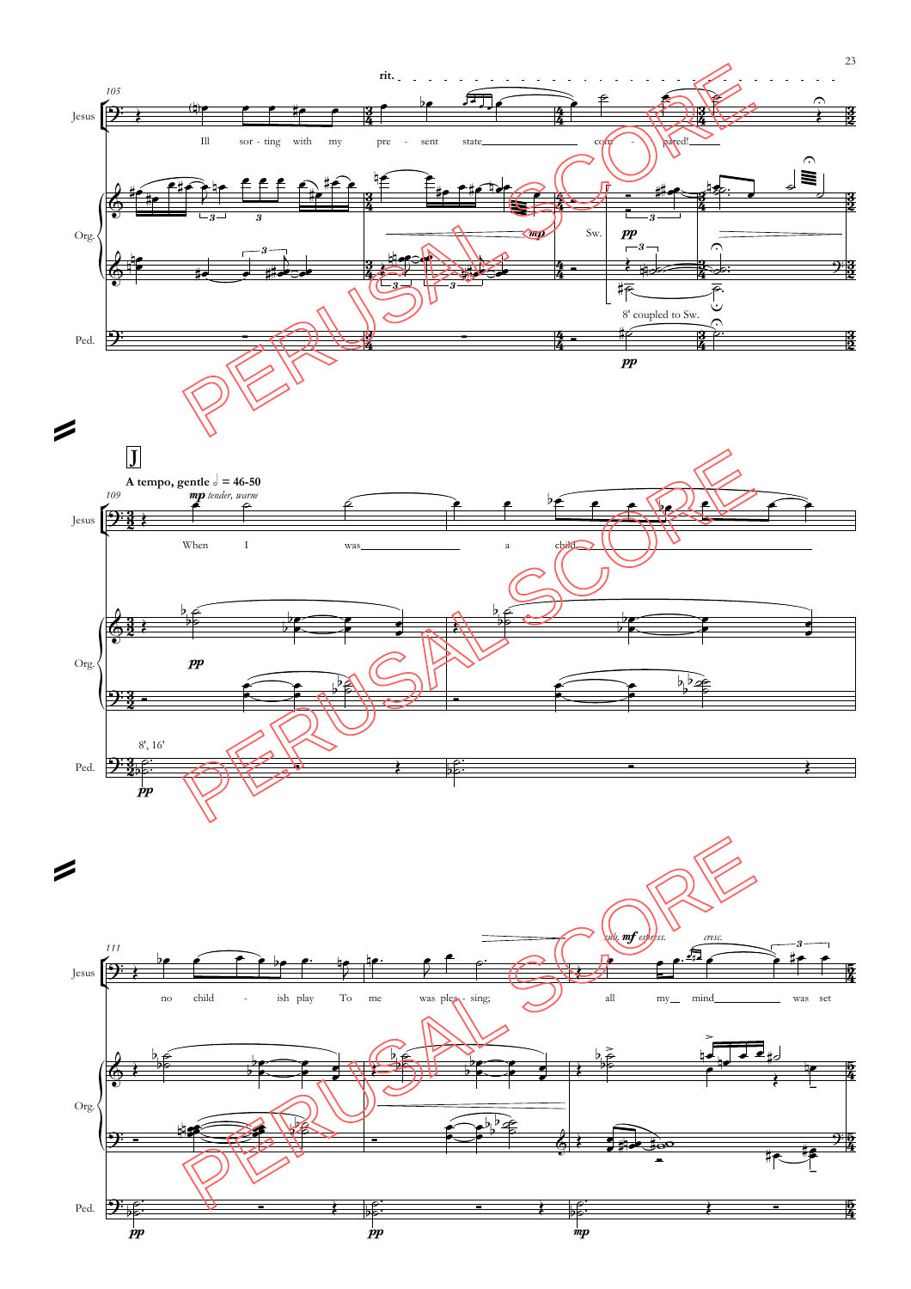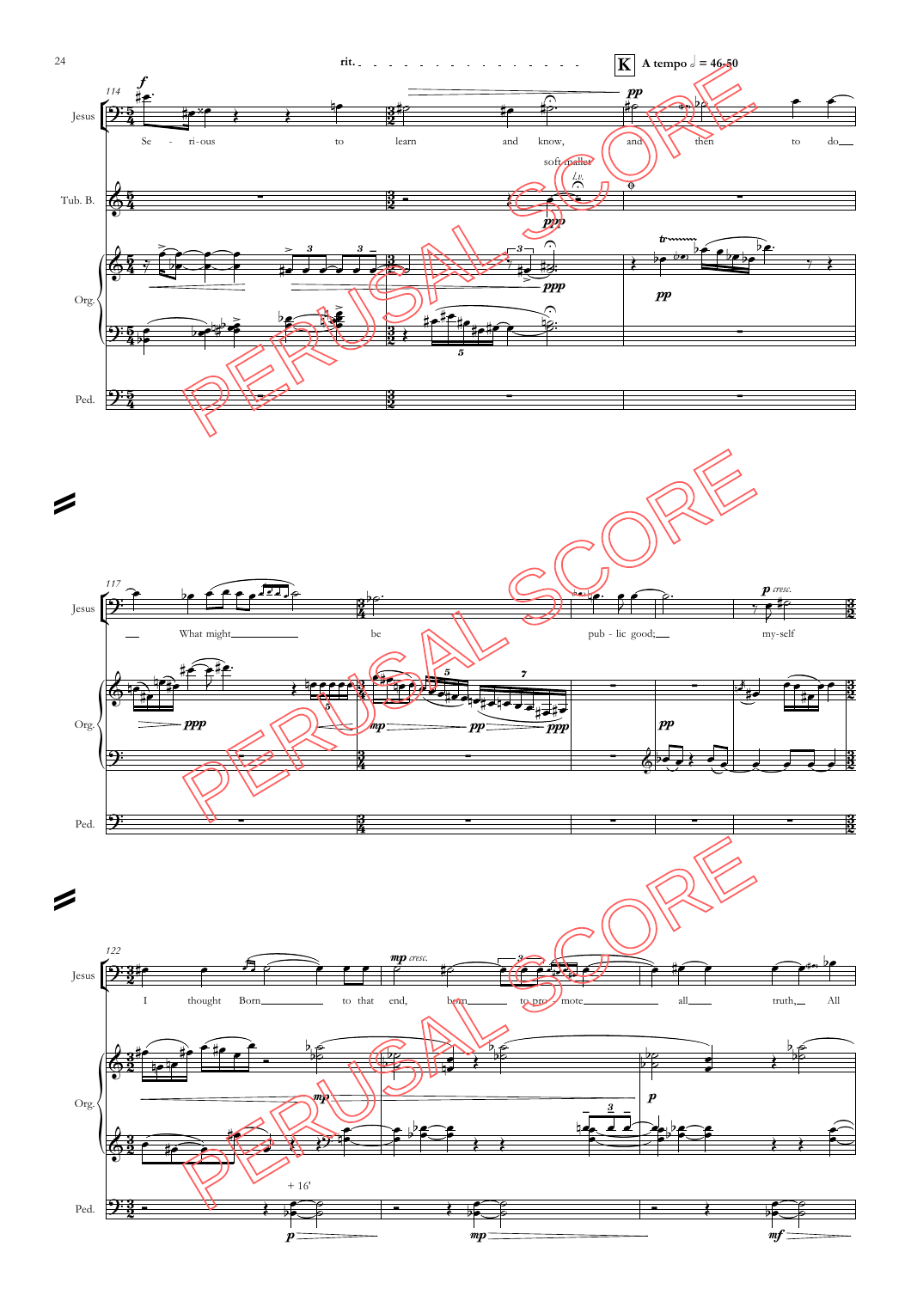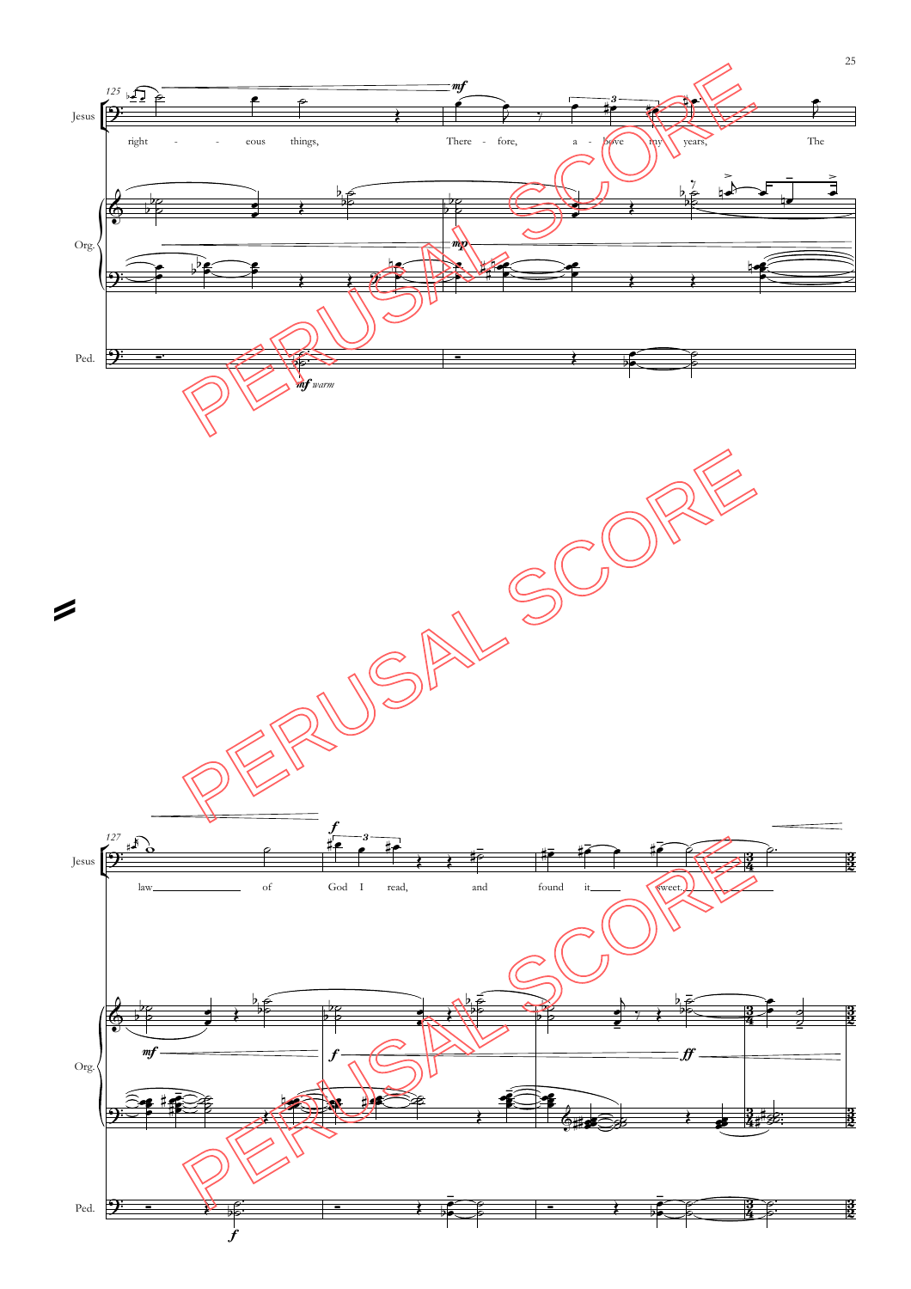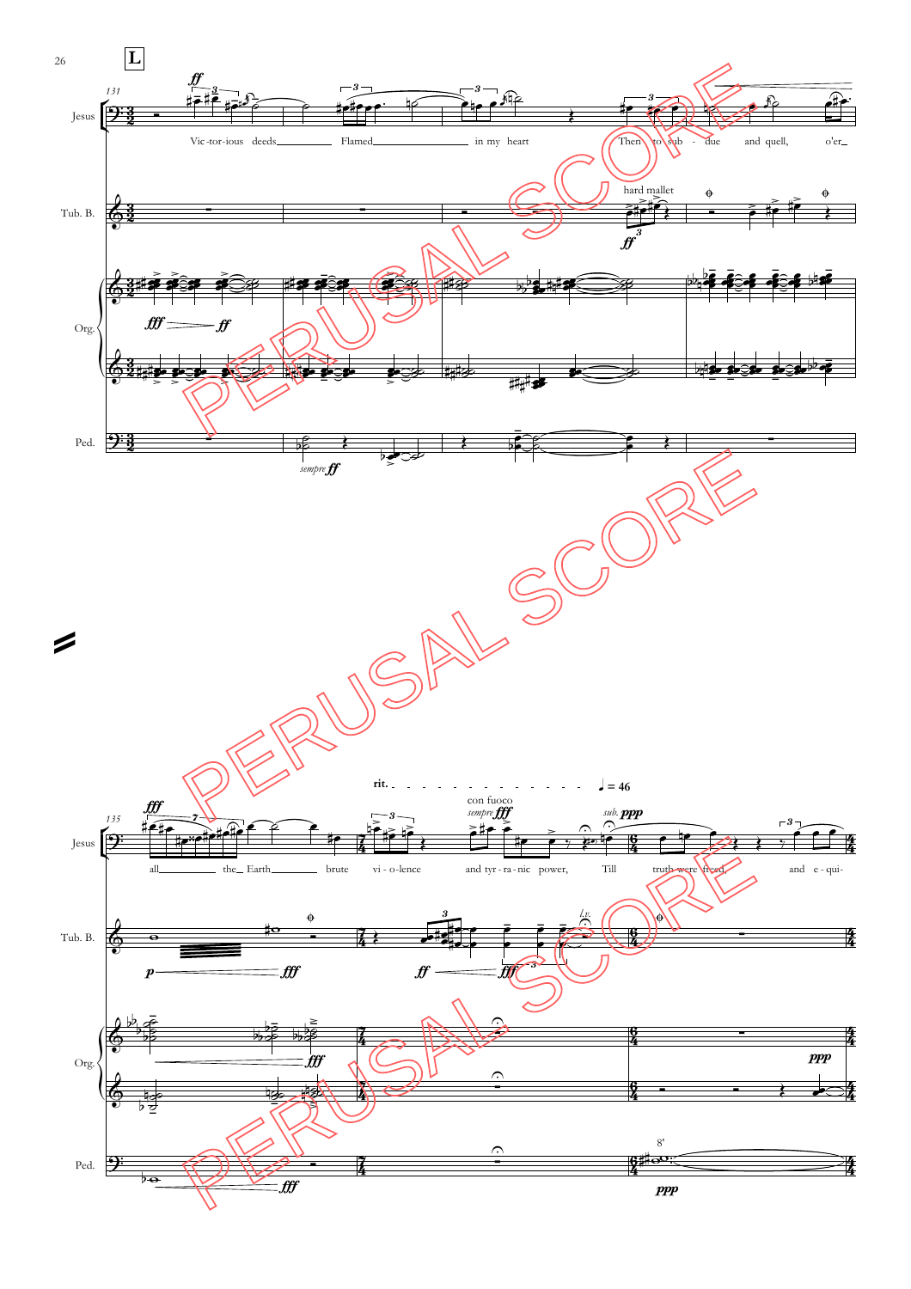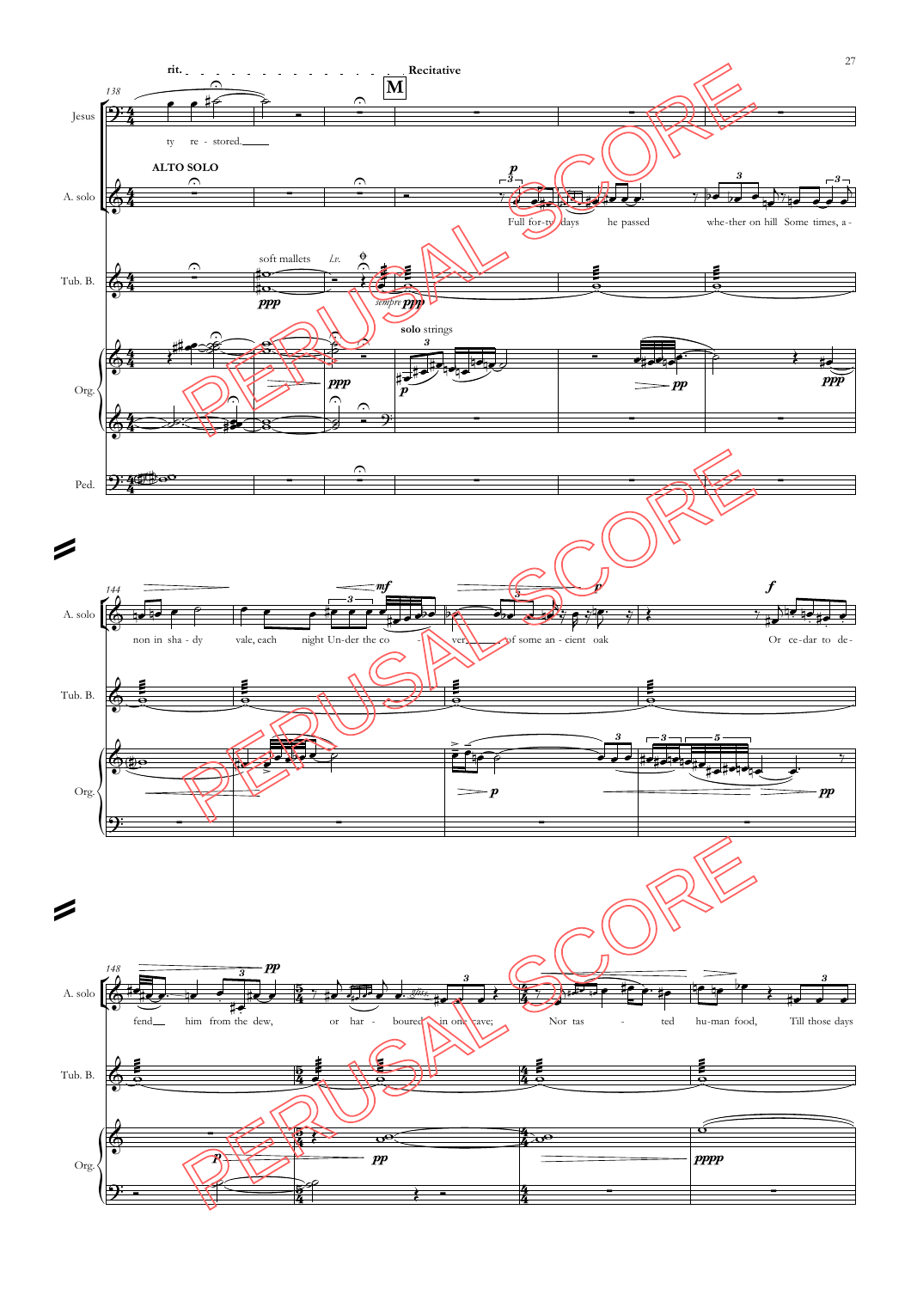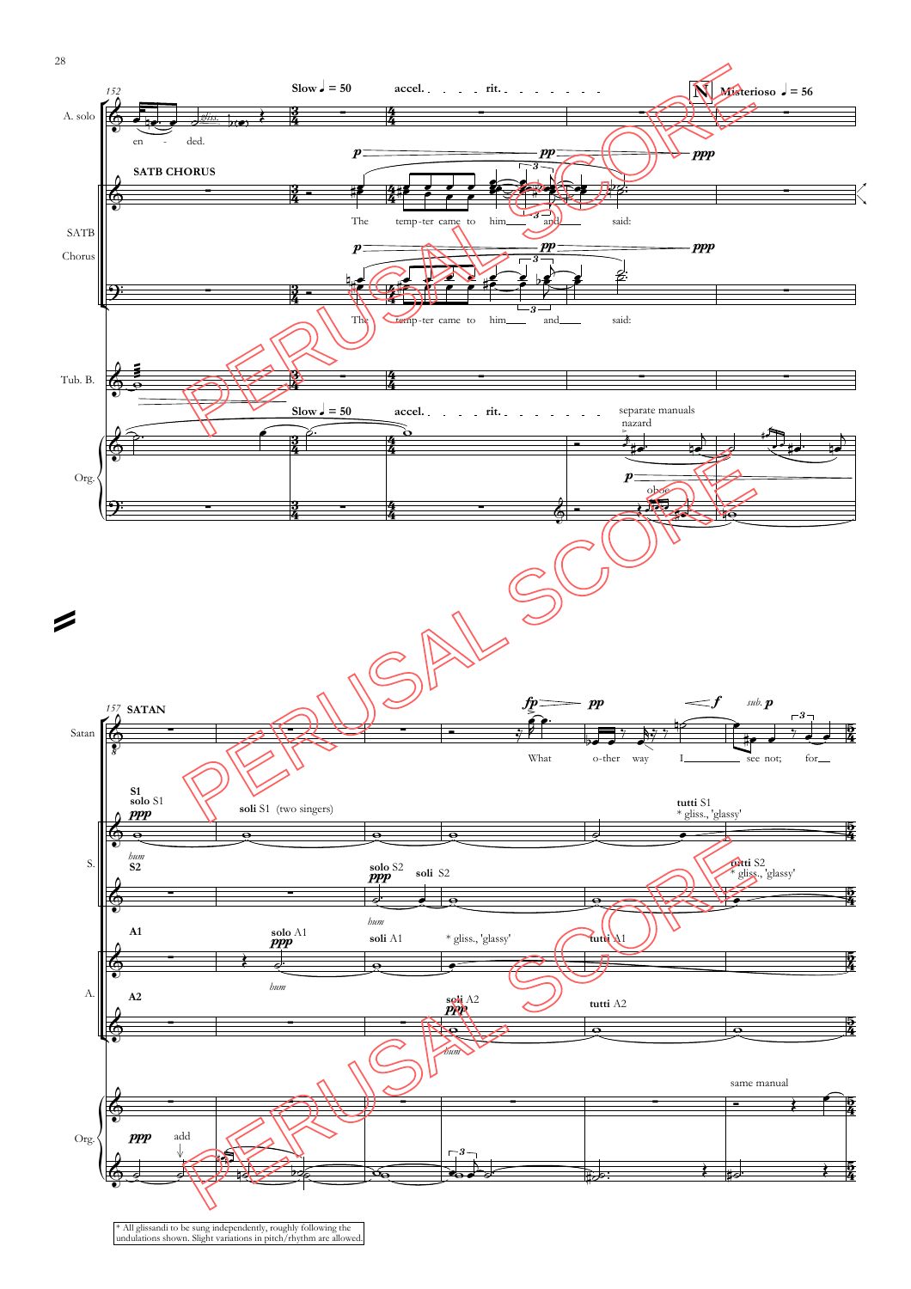

\* All glissandi to be sung independently, roughly following the undulations shown. Slight variations in pitch/rhythm are allowed.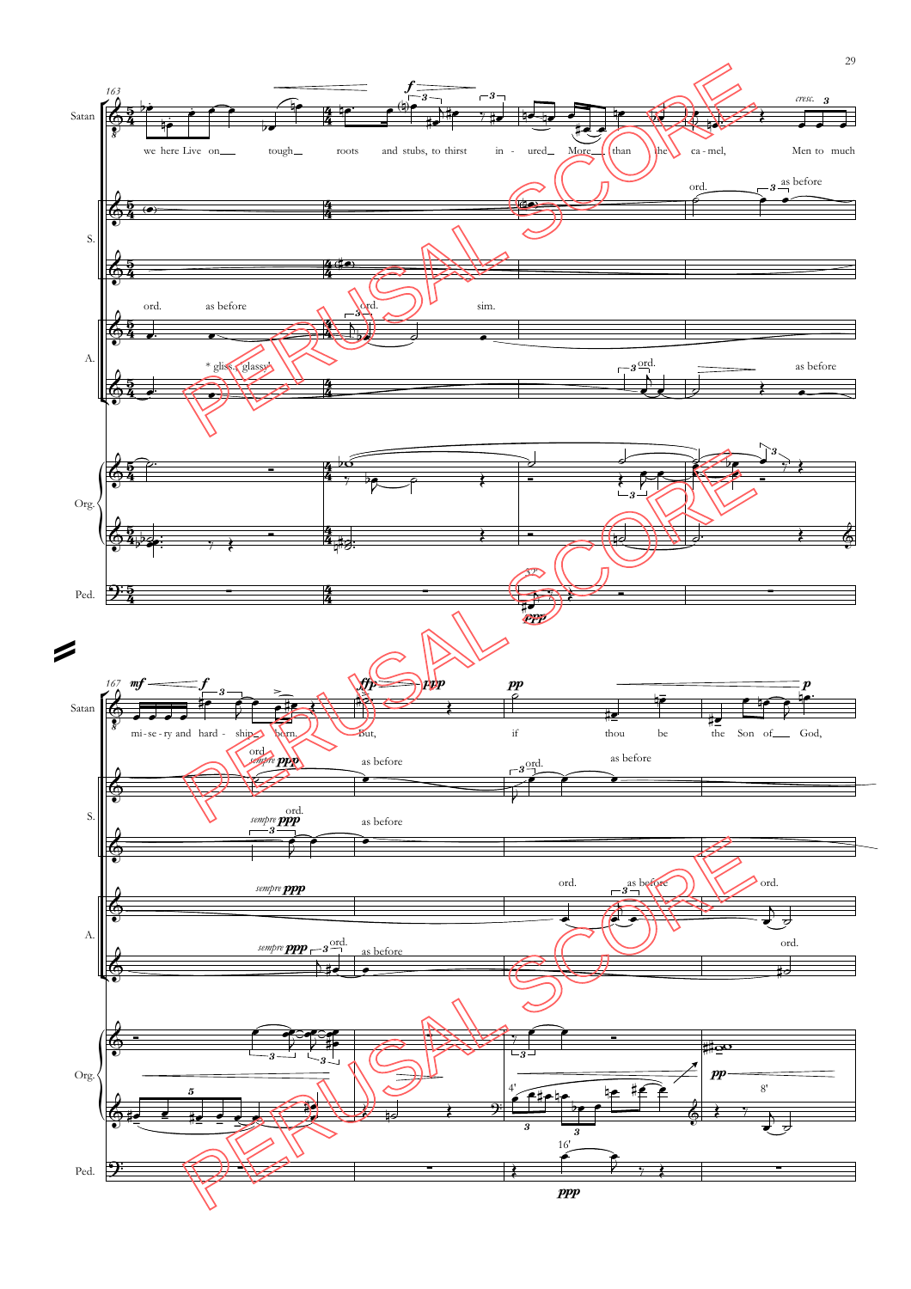

<sup>29</sup>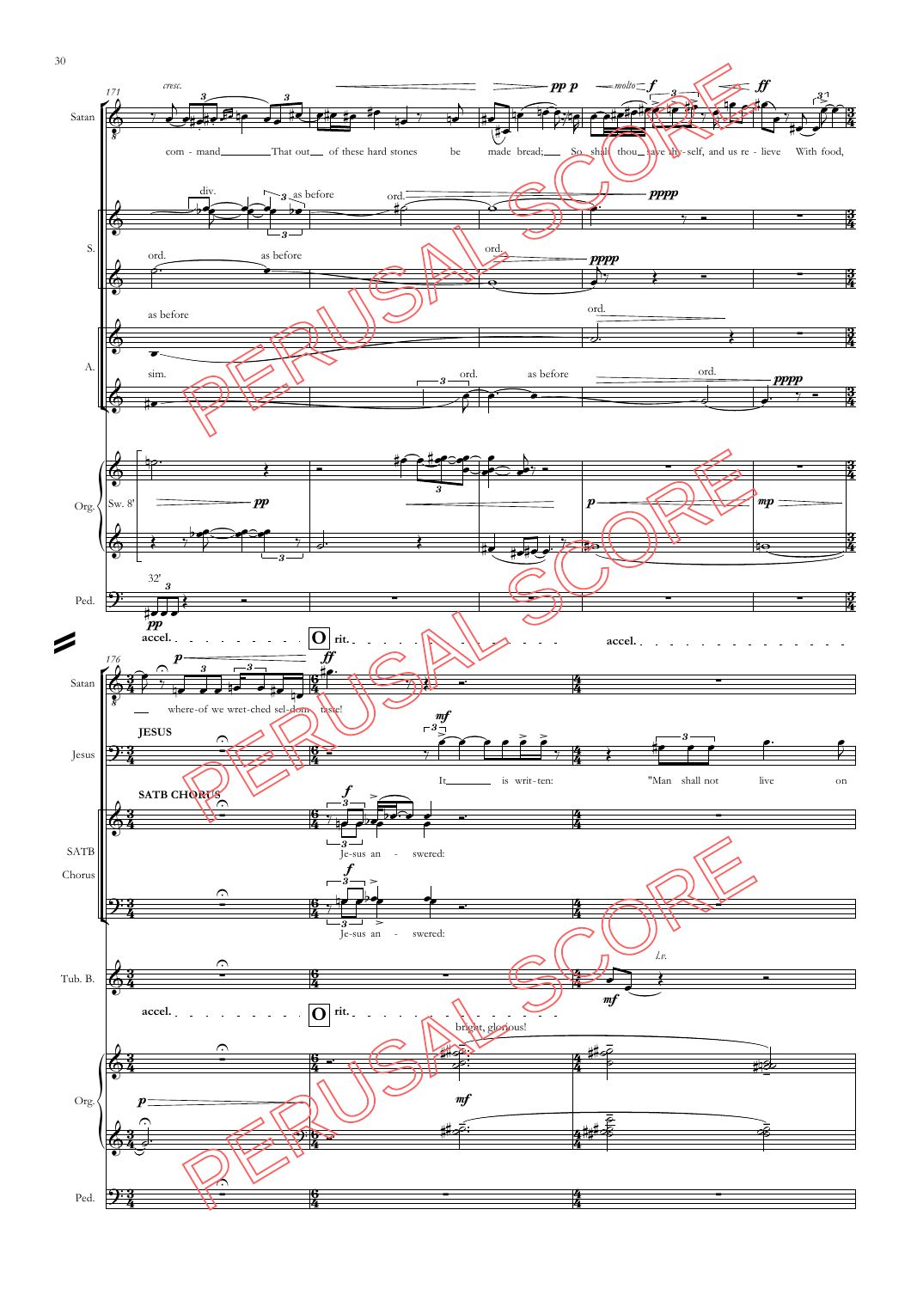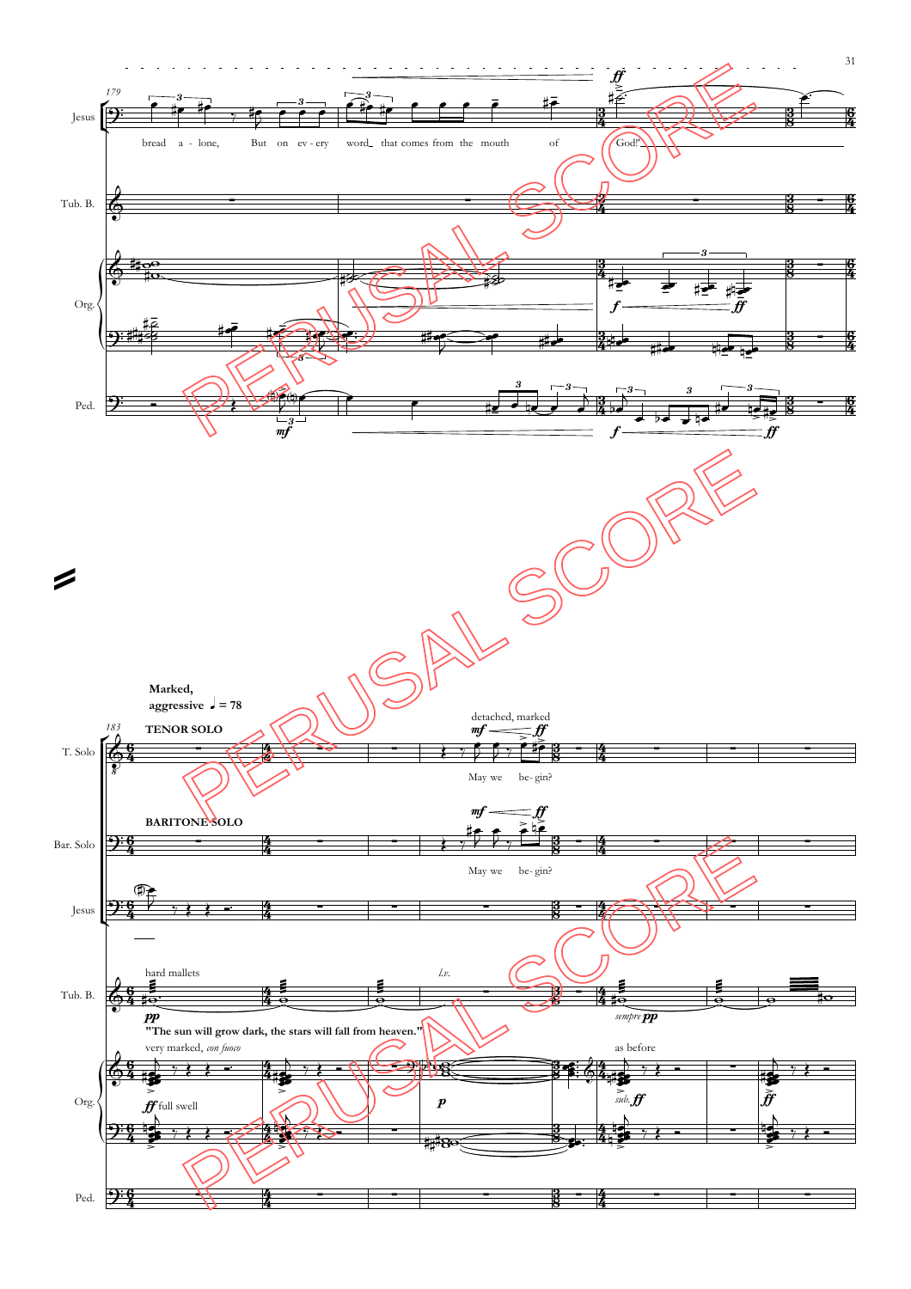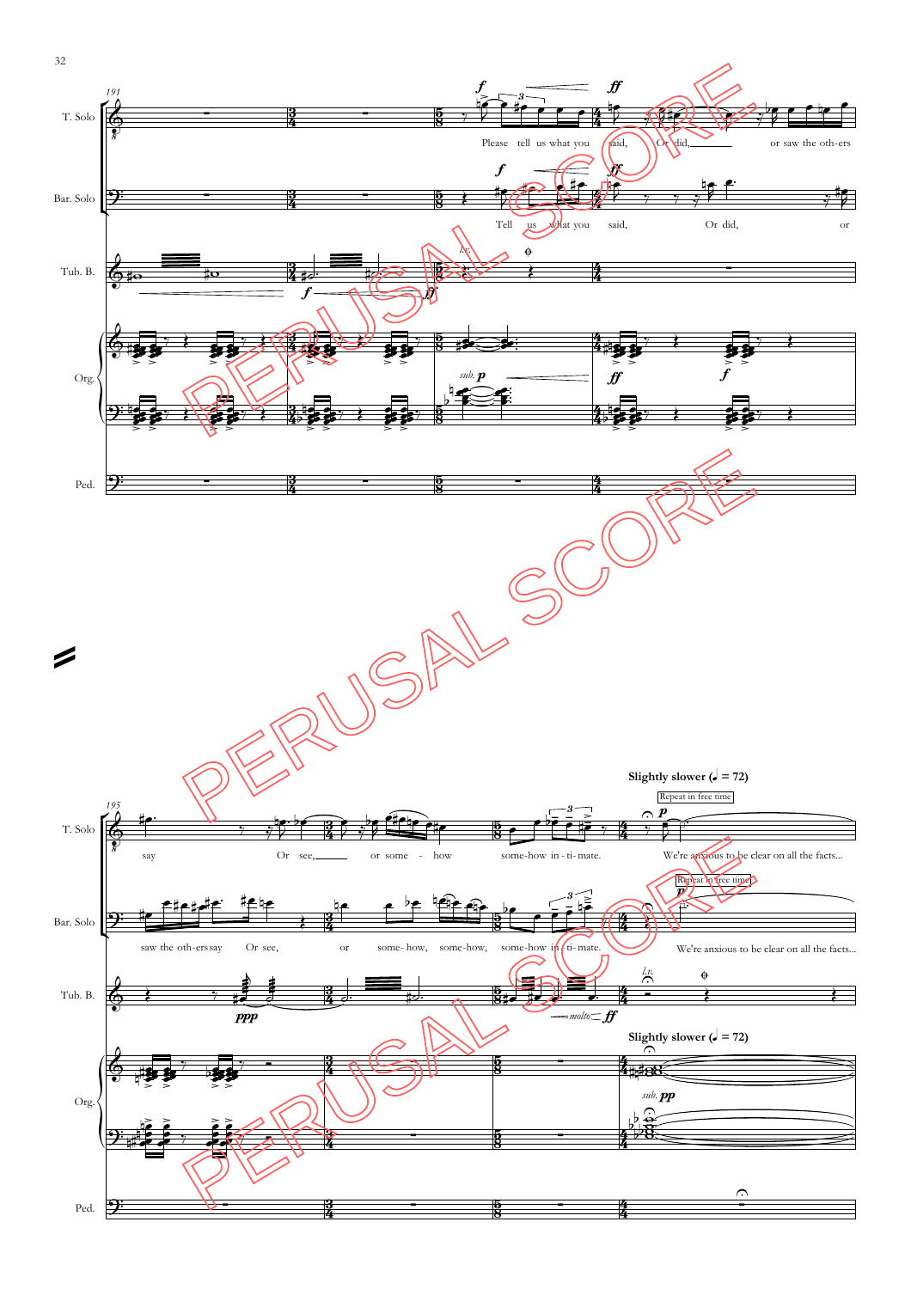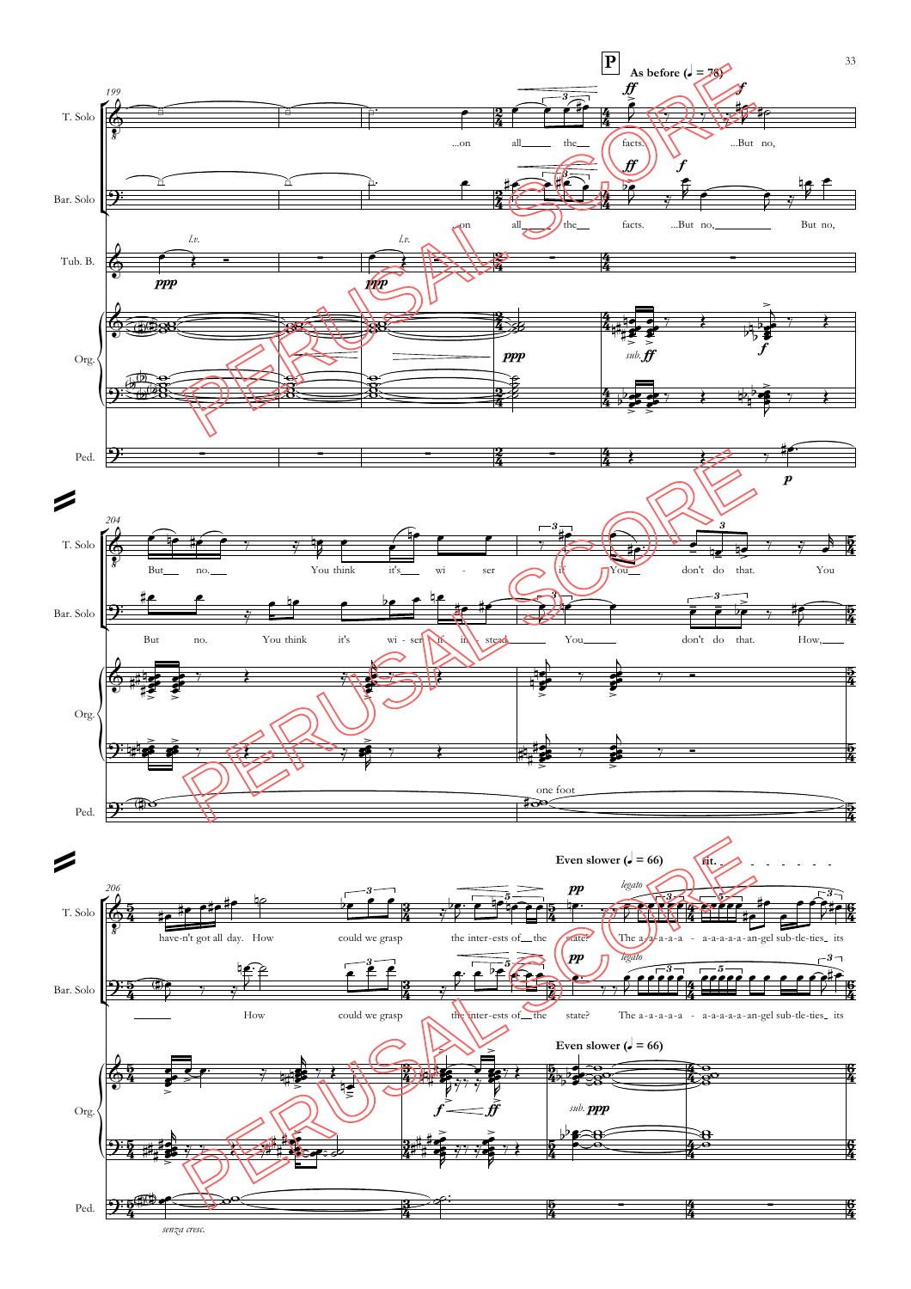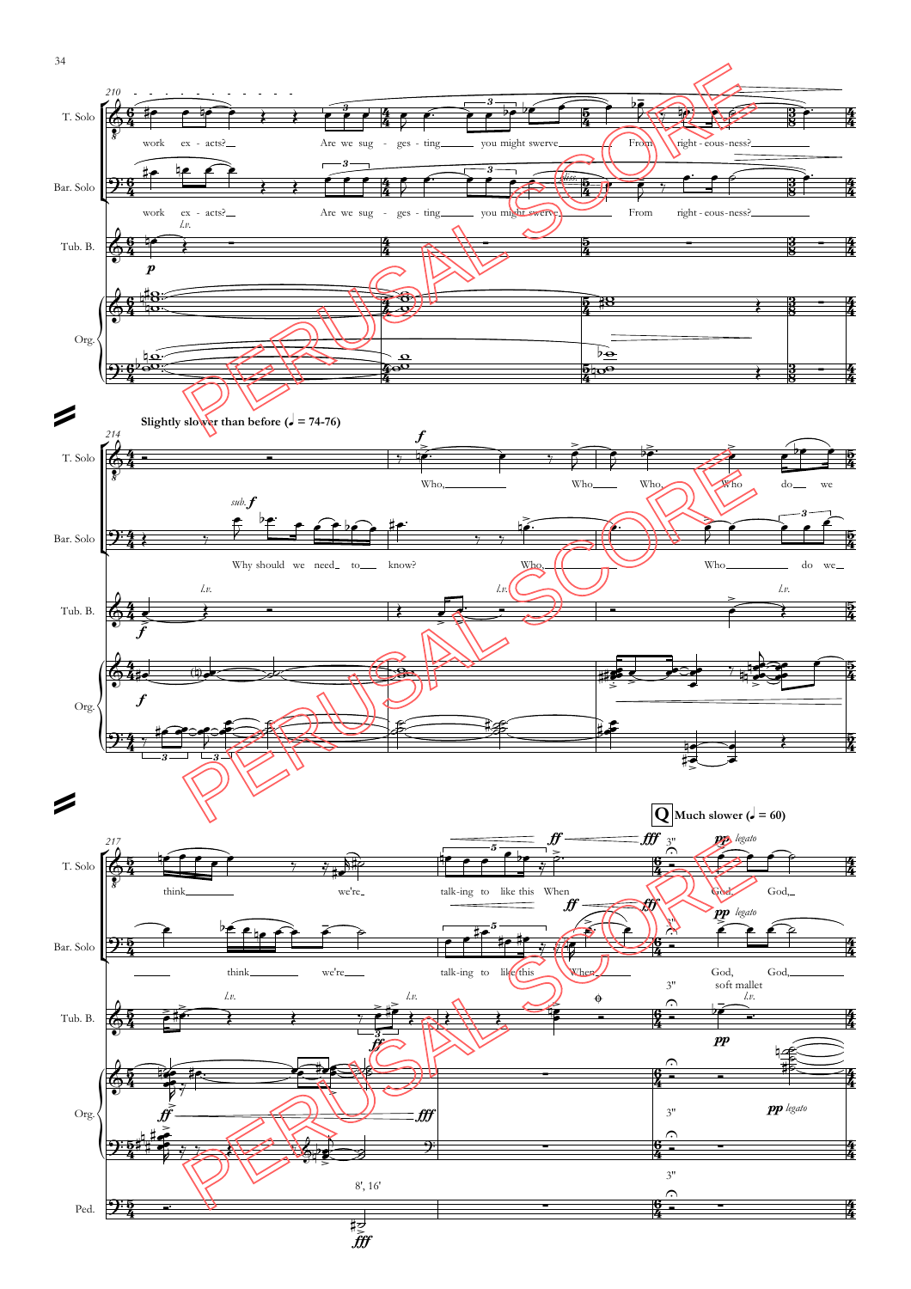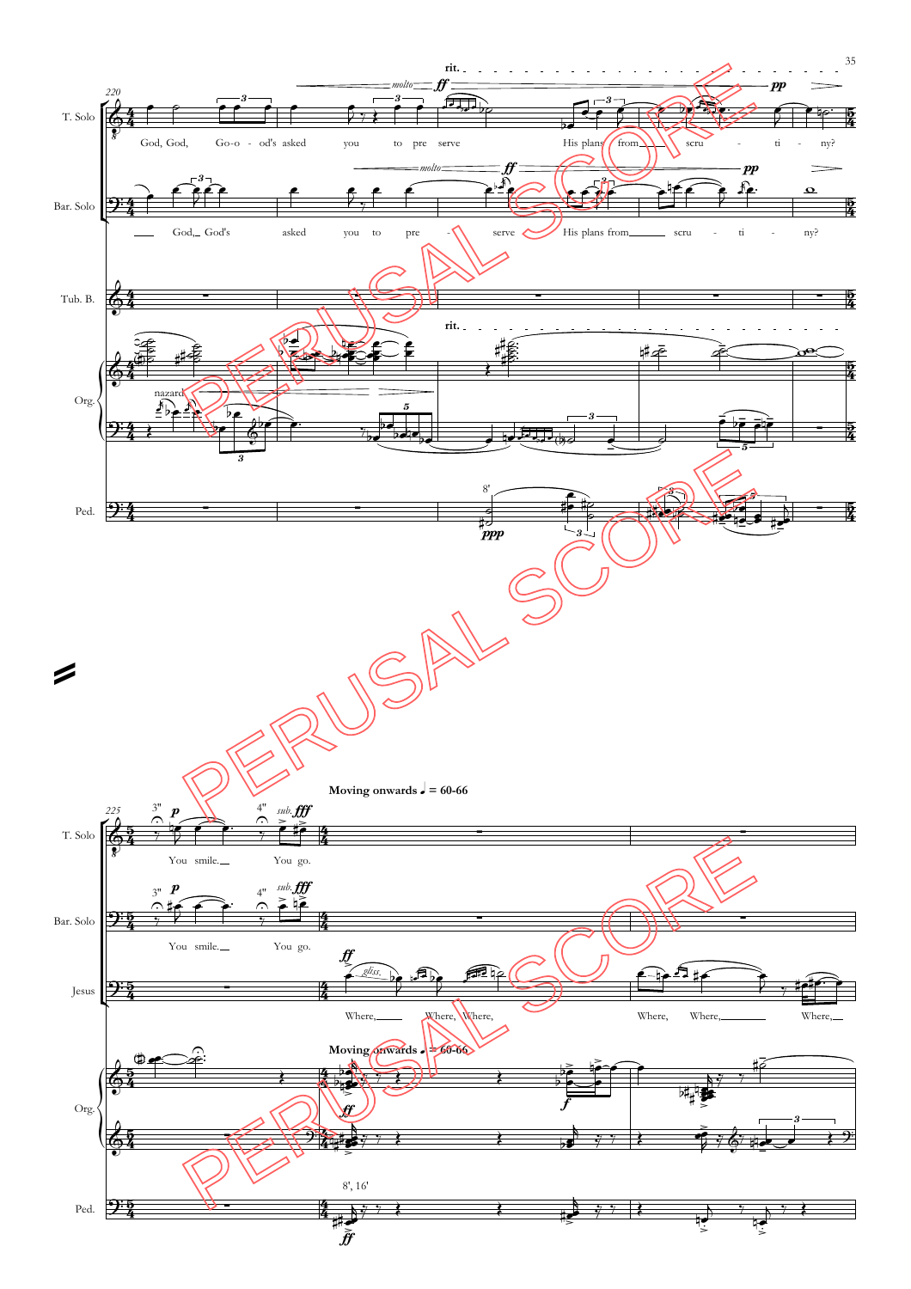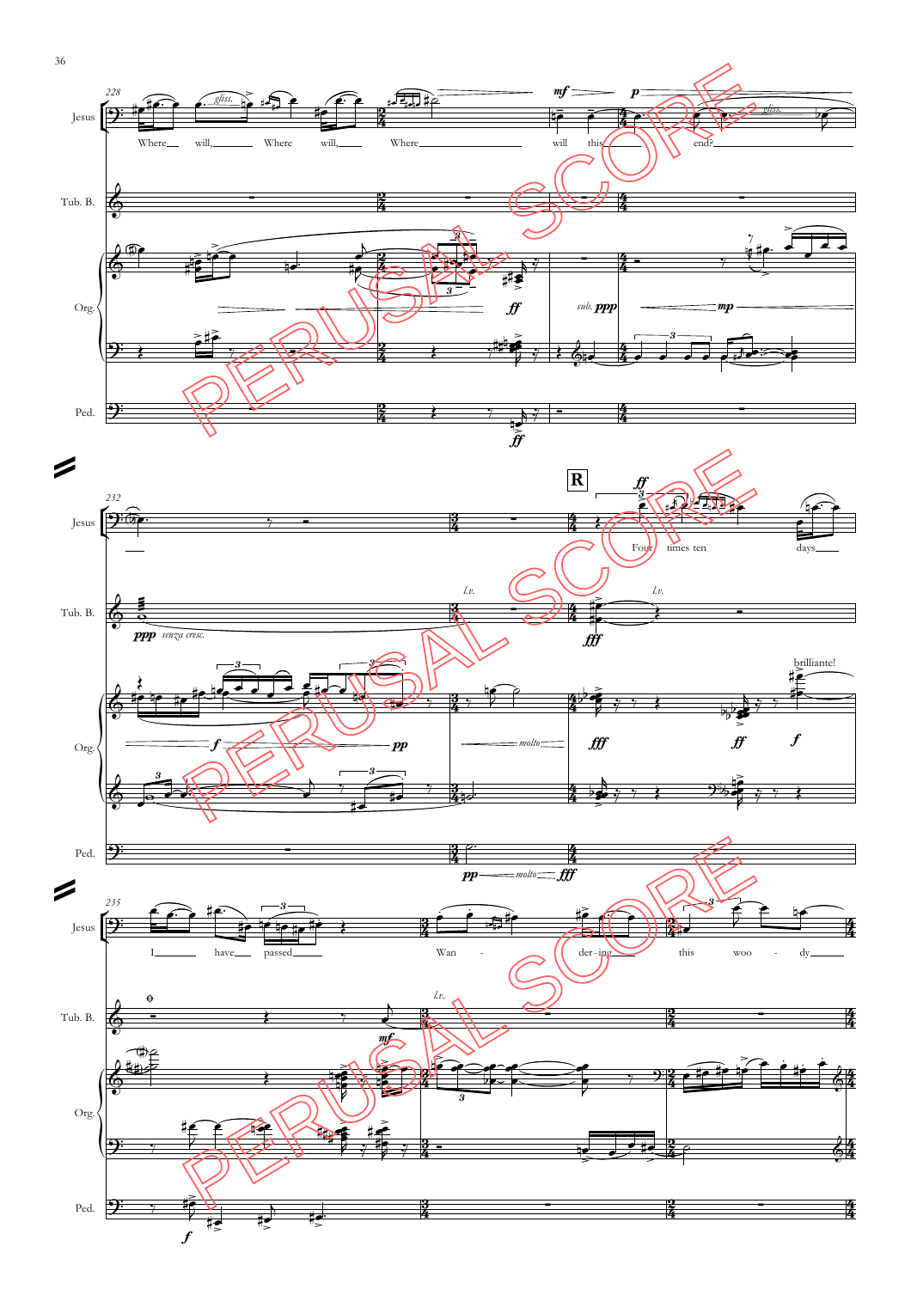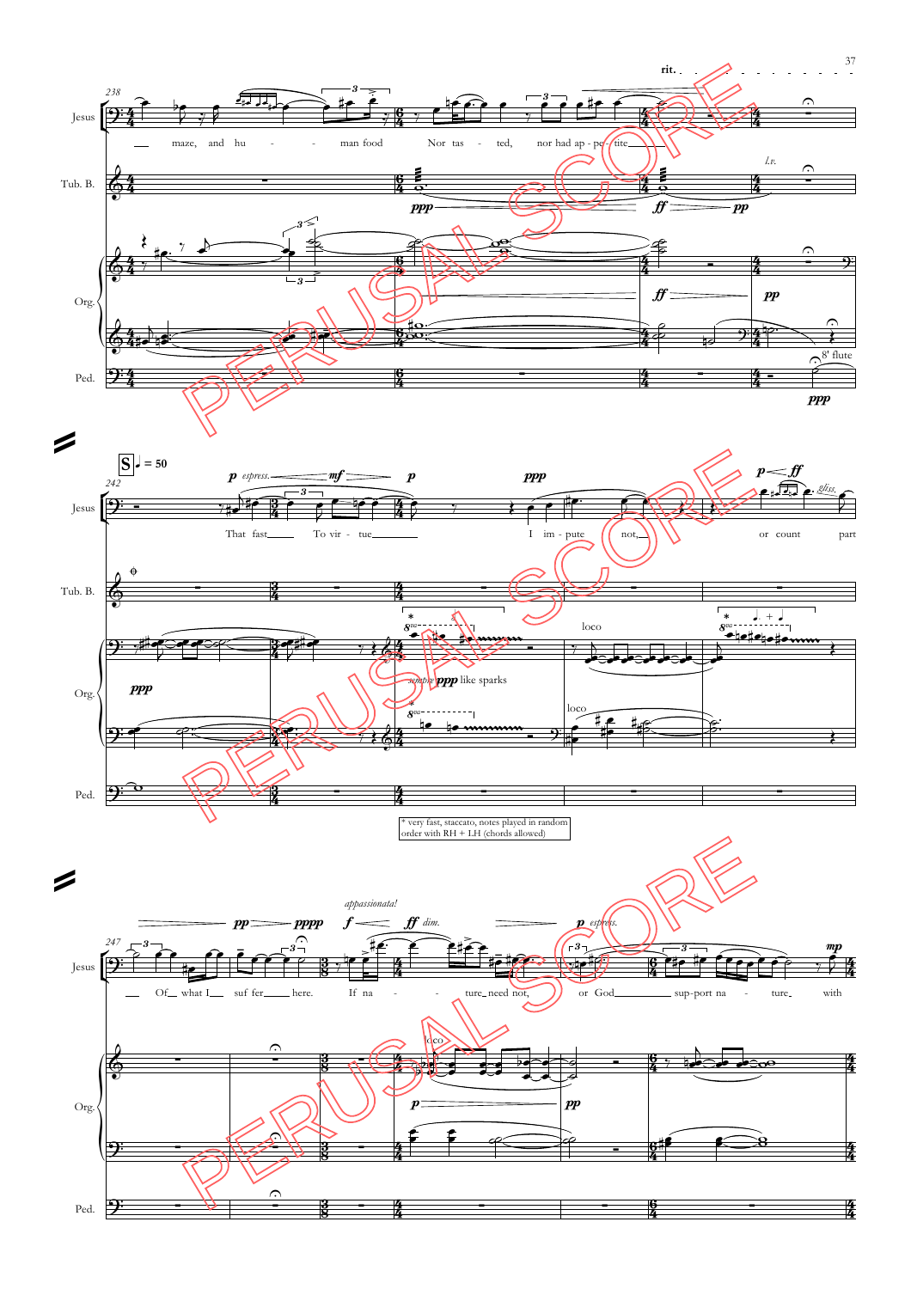



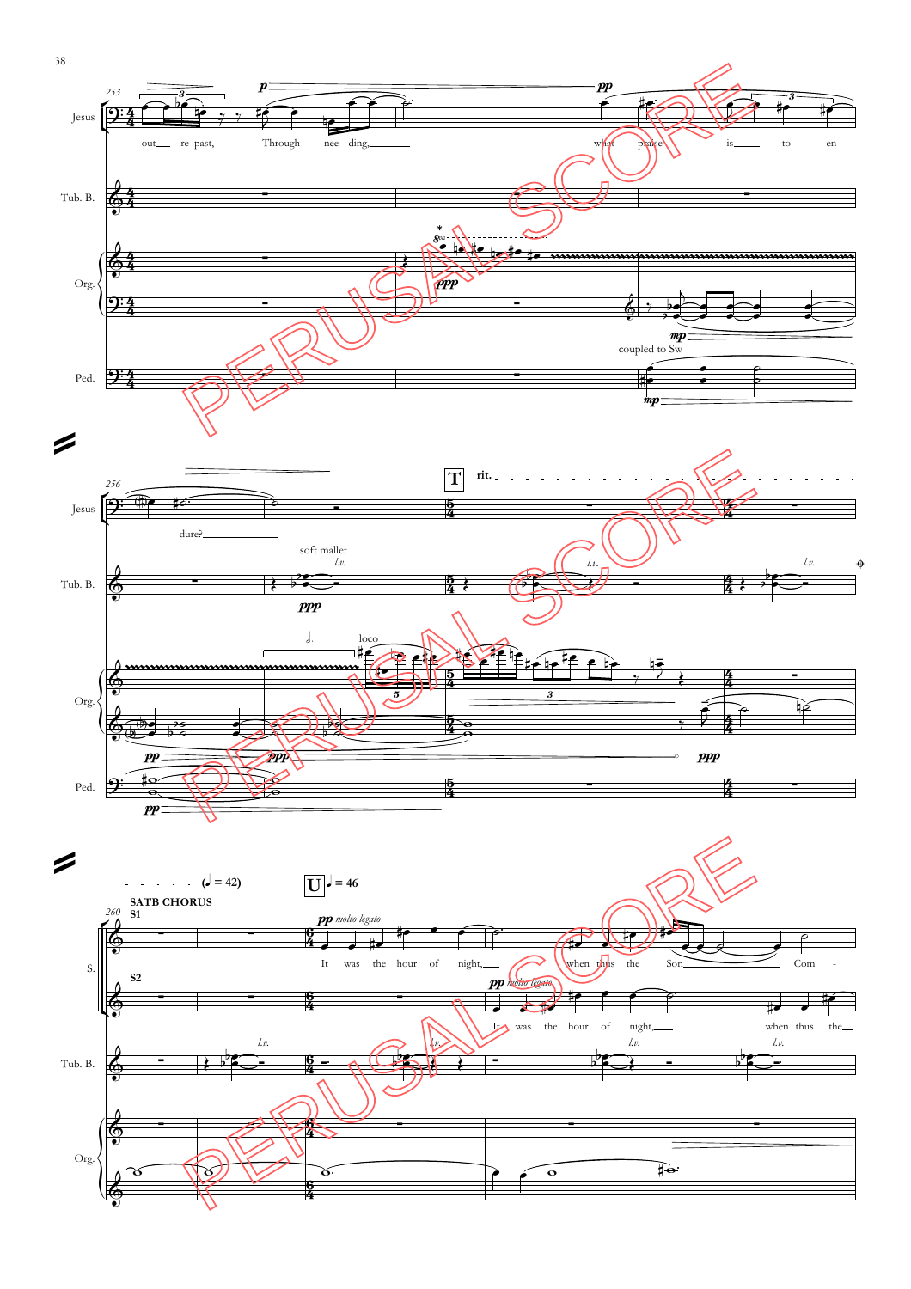![](_page_29_Figure_0.jpeg)

6<br>4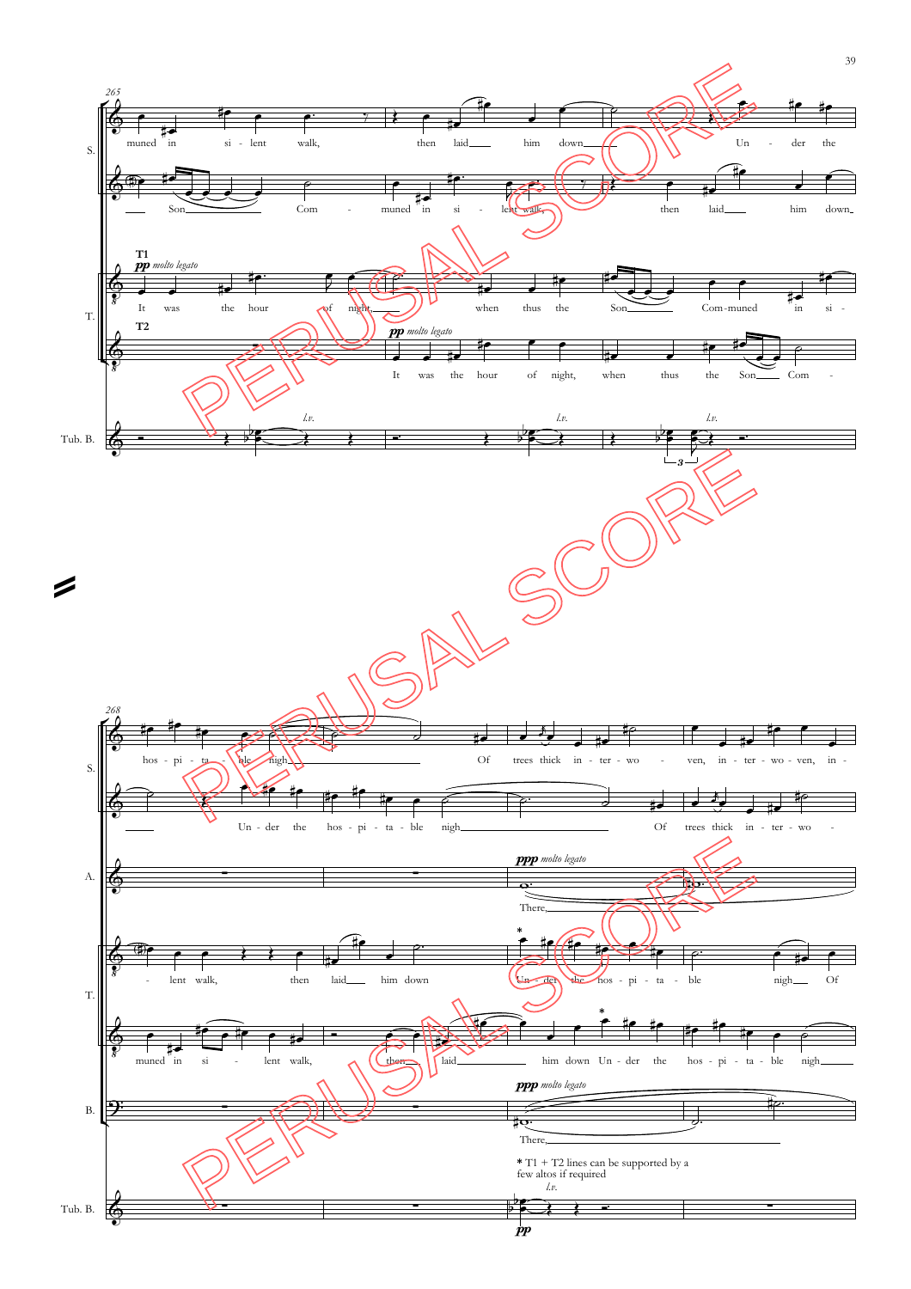![](_page_30_Figure_0.jpeg)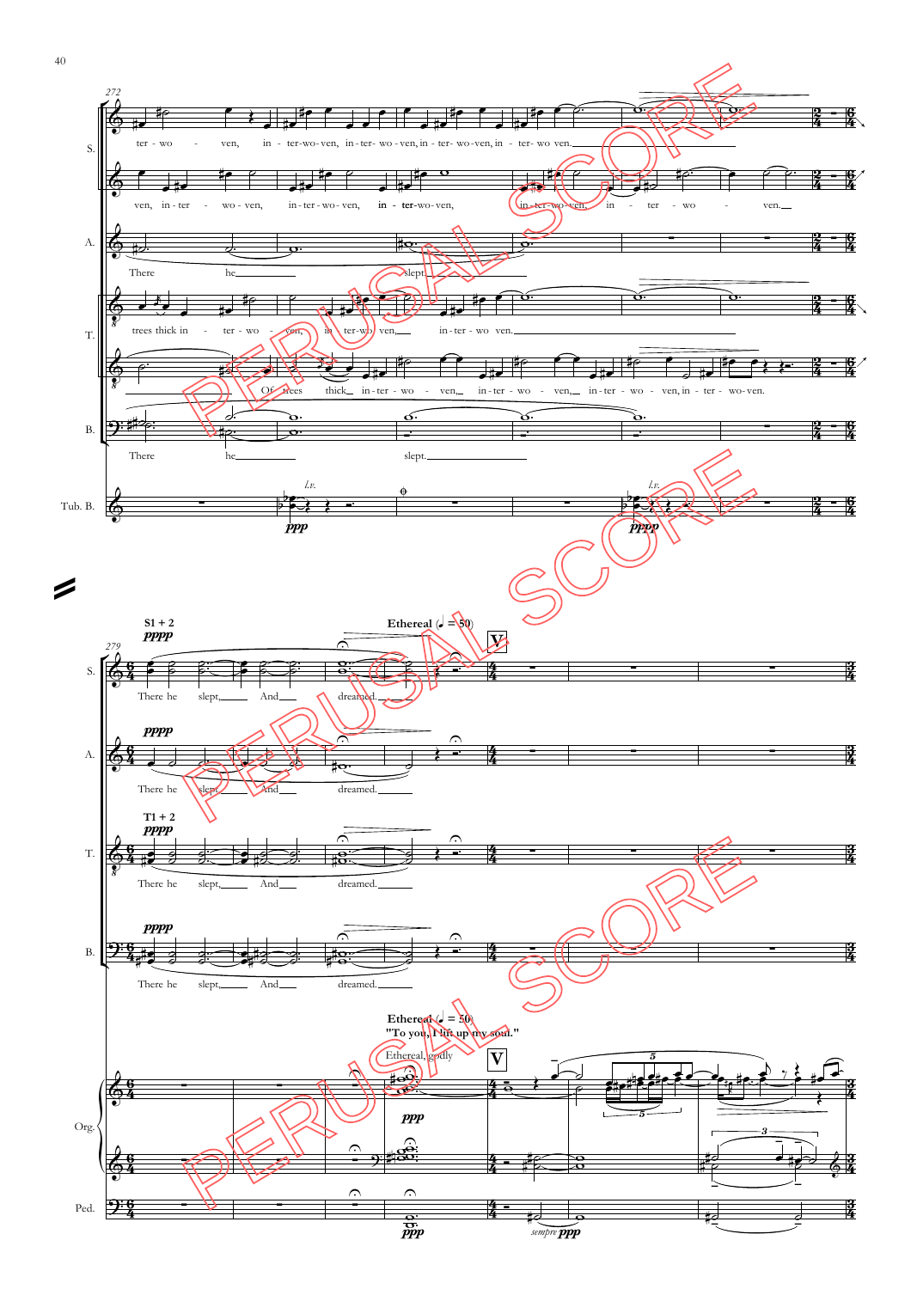![](_page_31_Figure_0.jpeg)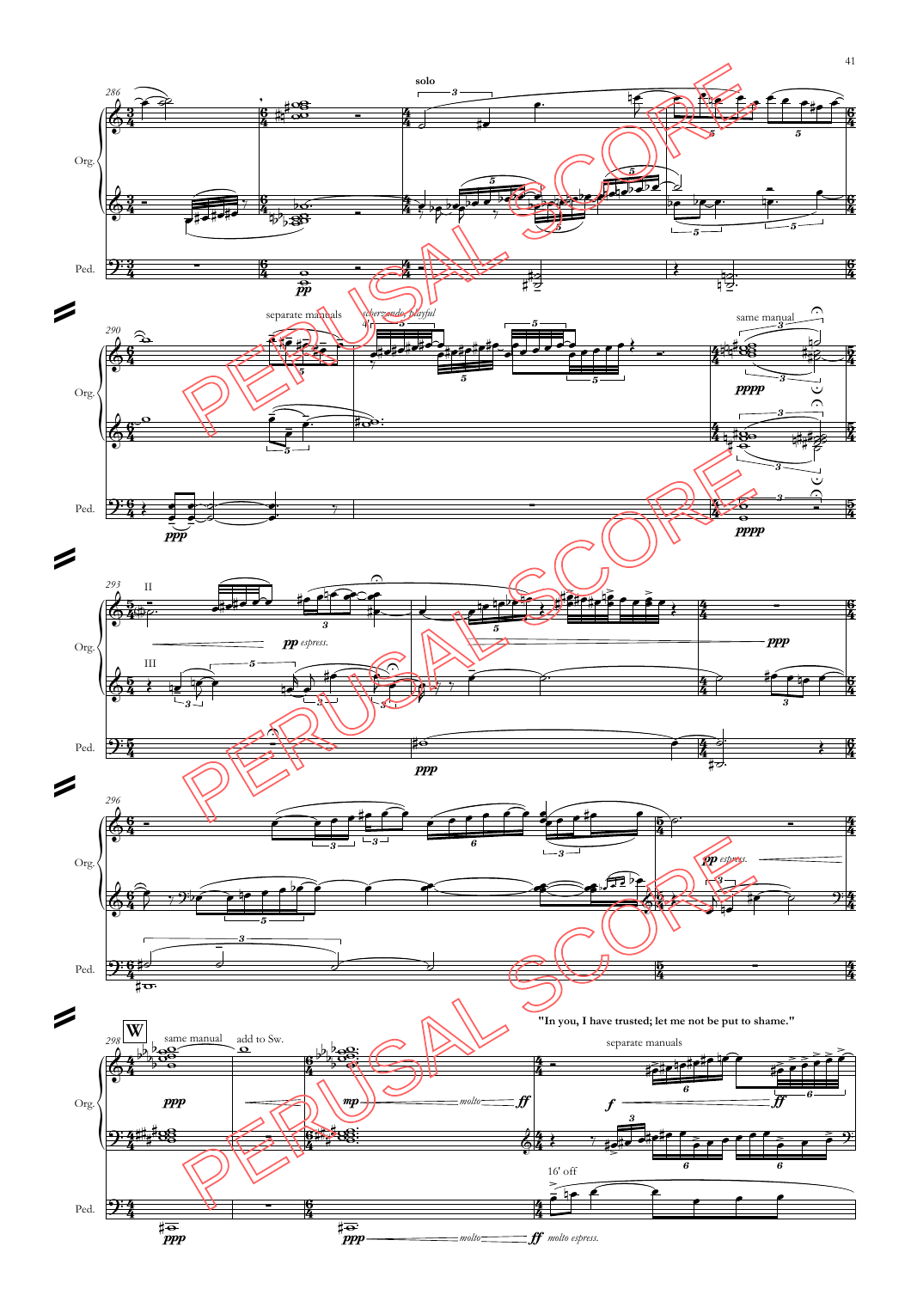![](_page_32_Figure_0.jpeg)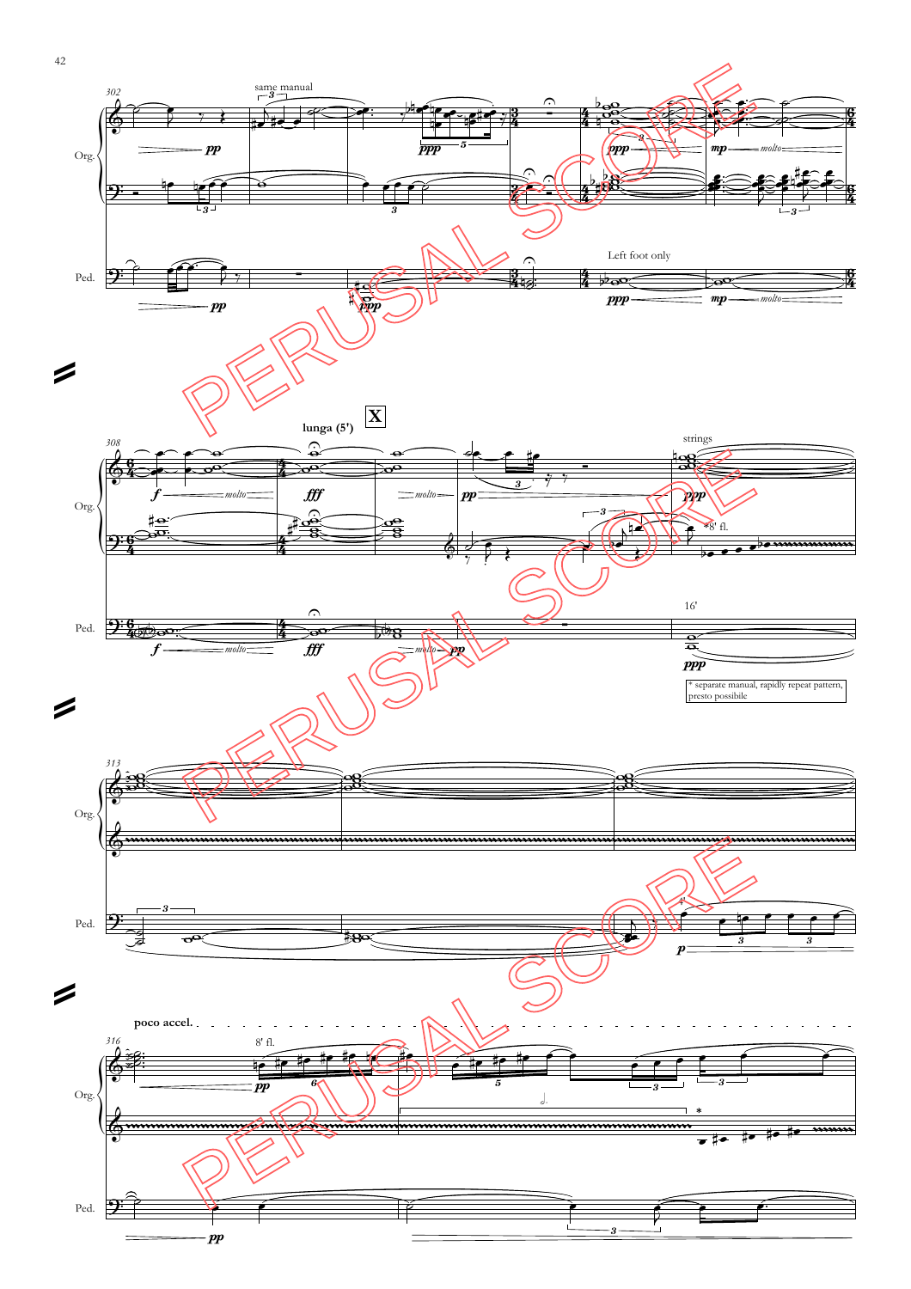![](_page_33_Figure_0.jpeg)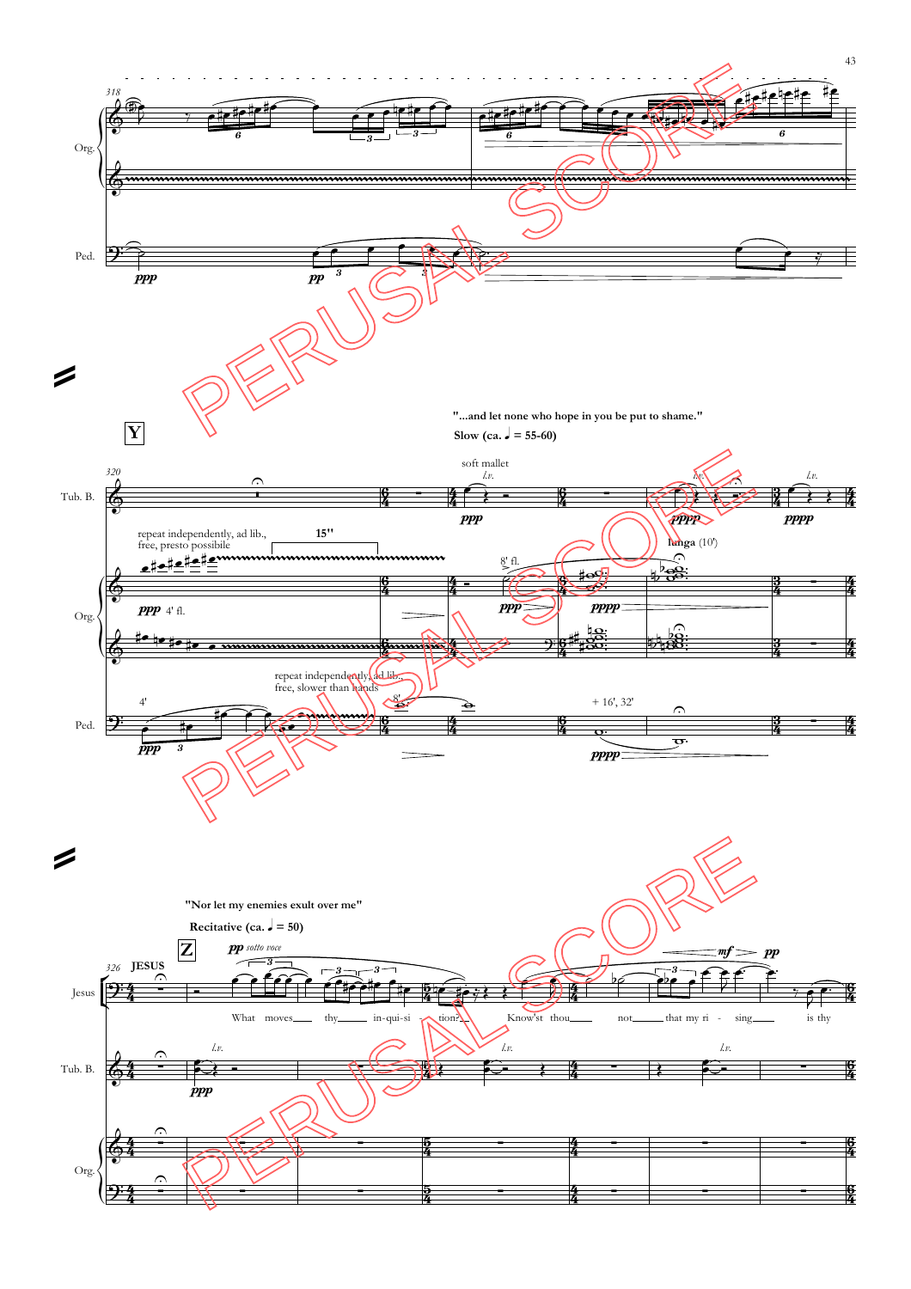![](_page_34_Figure_0.jpeg)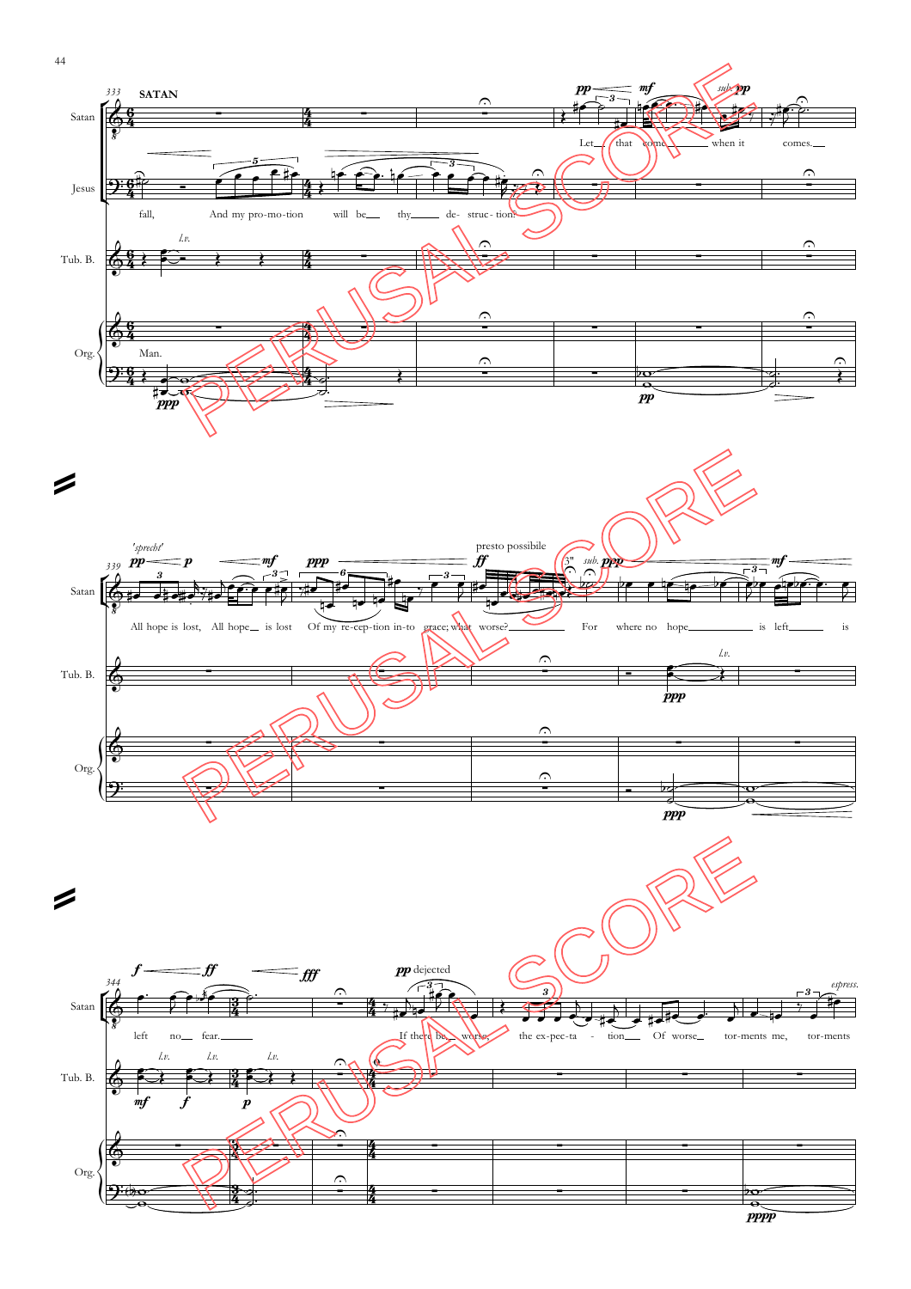![](_page_35_Figure_0.jpeg)

![](_page_35_Figure_1.jpeg)

![](_page_35_Figure_2.jpeg)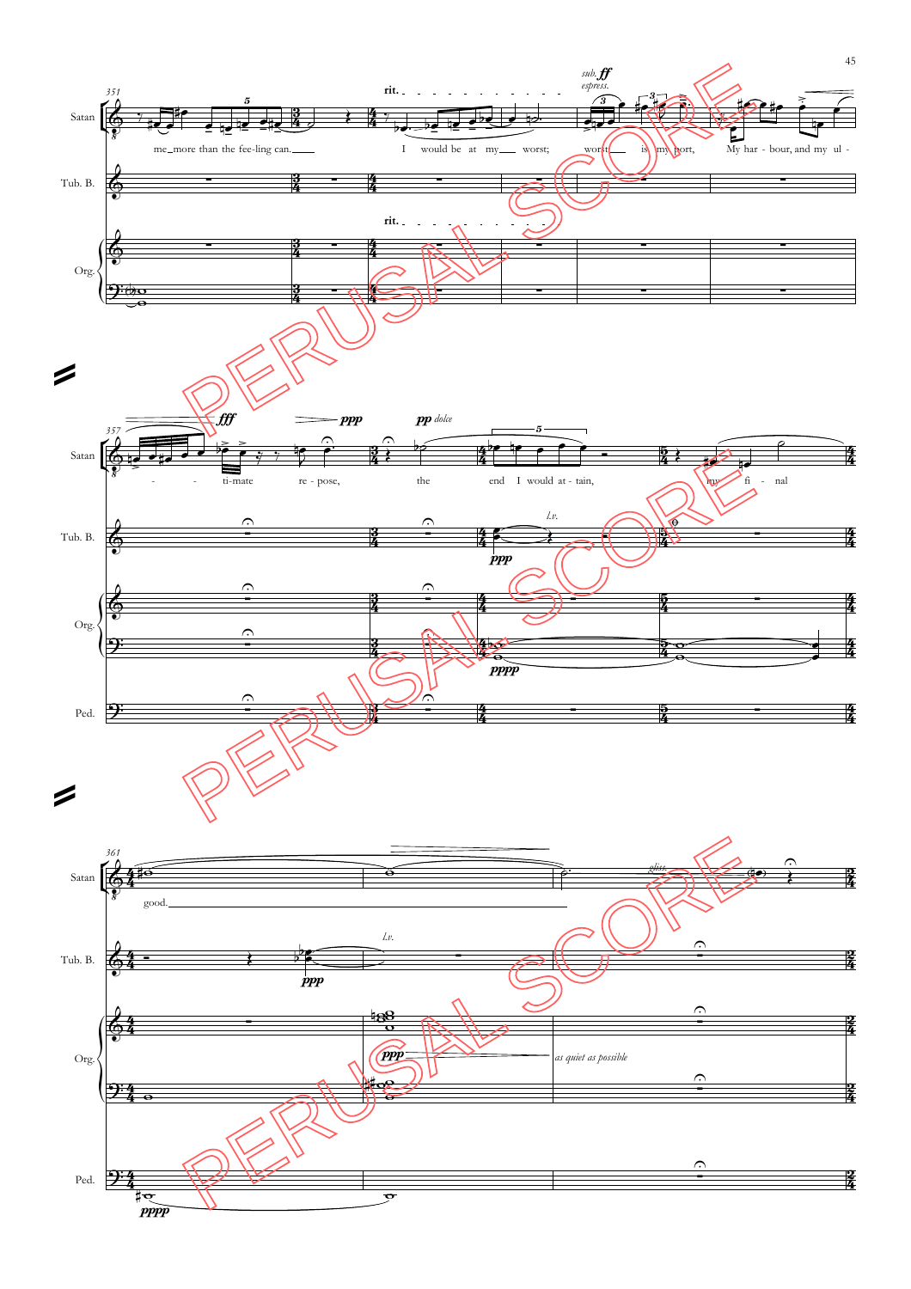![](_page_36_Figure_0.jpeg)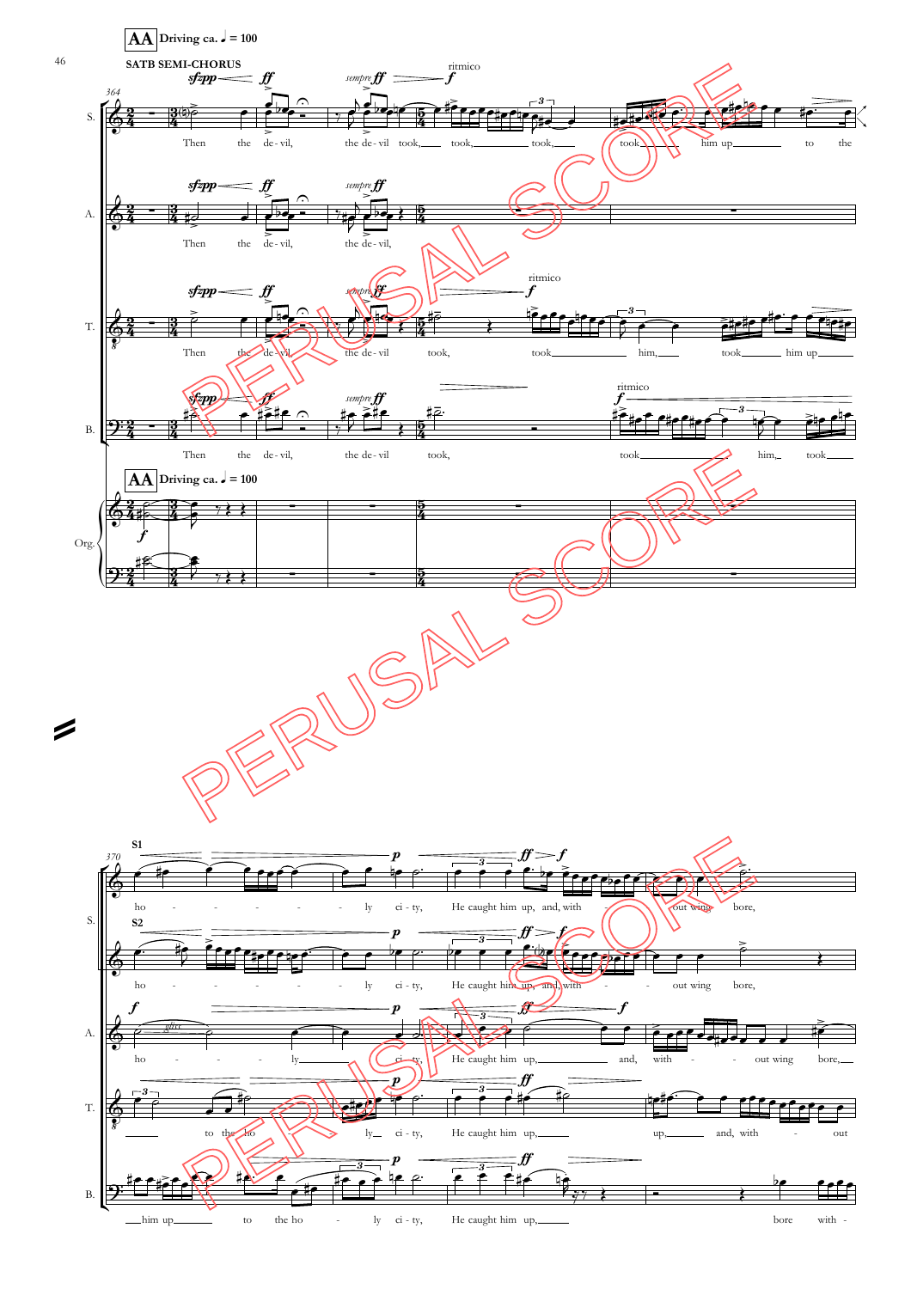![](_page_37_Figure_0.jpeg)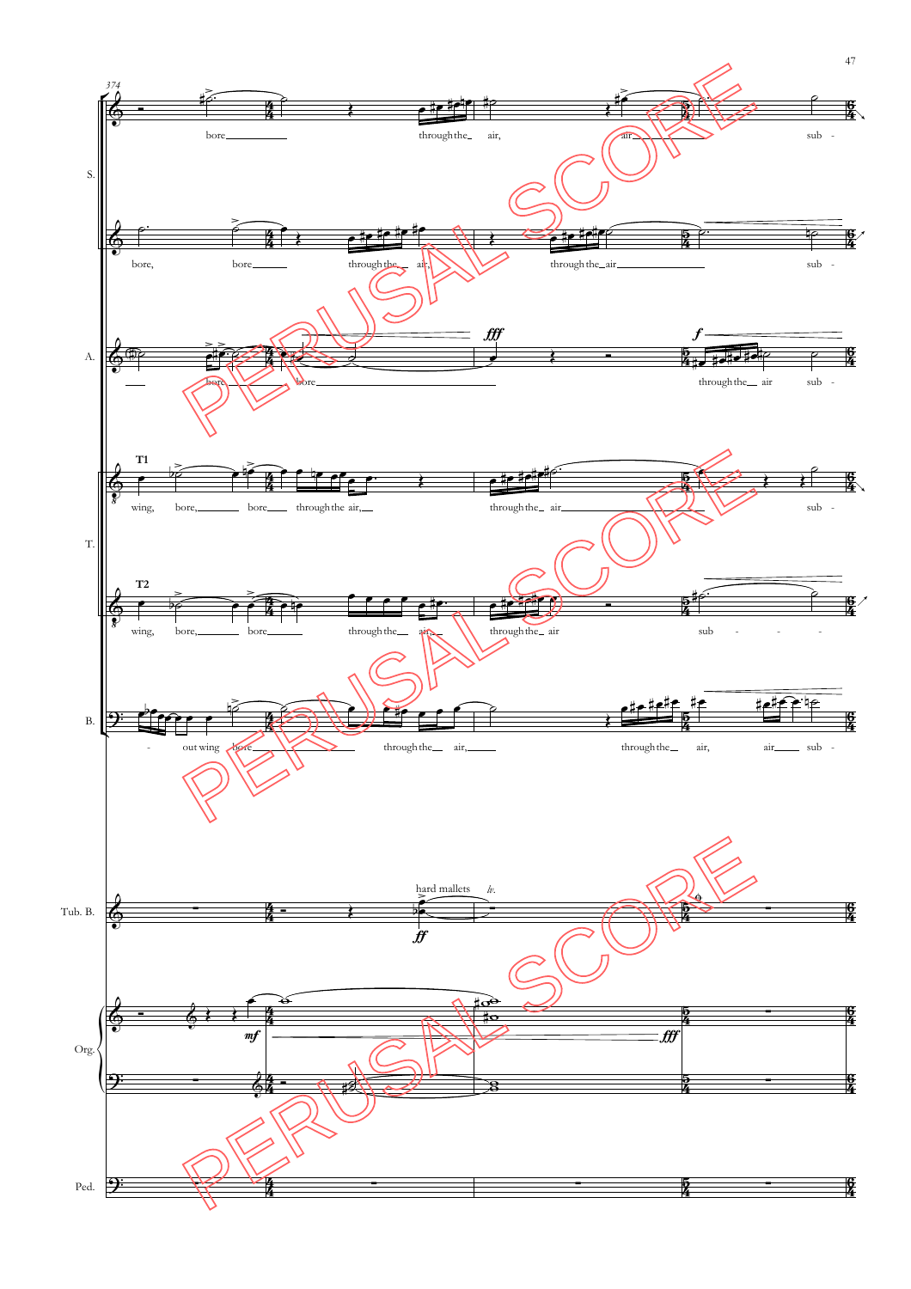![](_page_38_Figure_0.jpeg)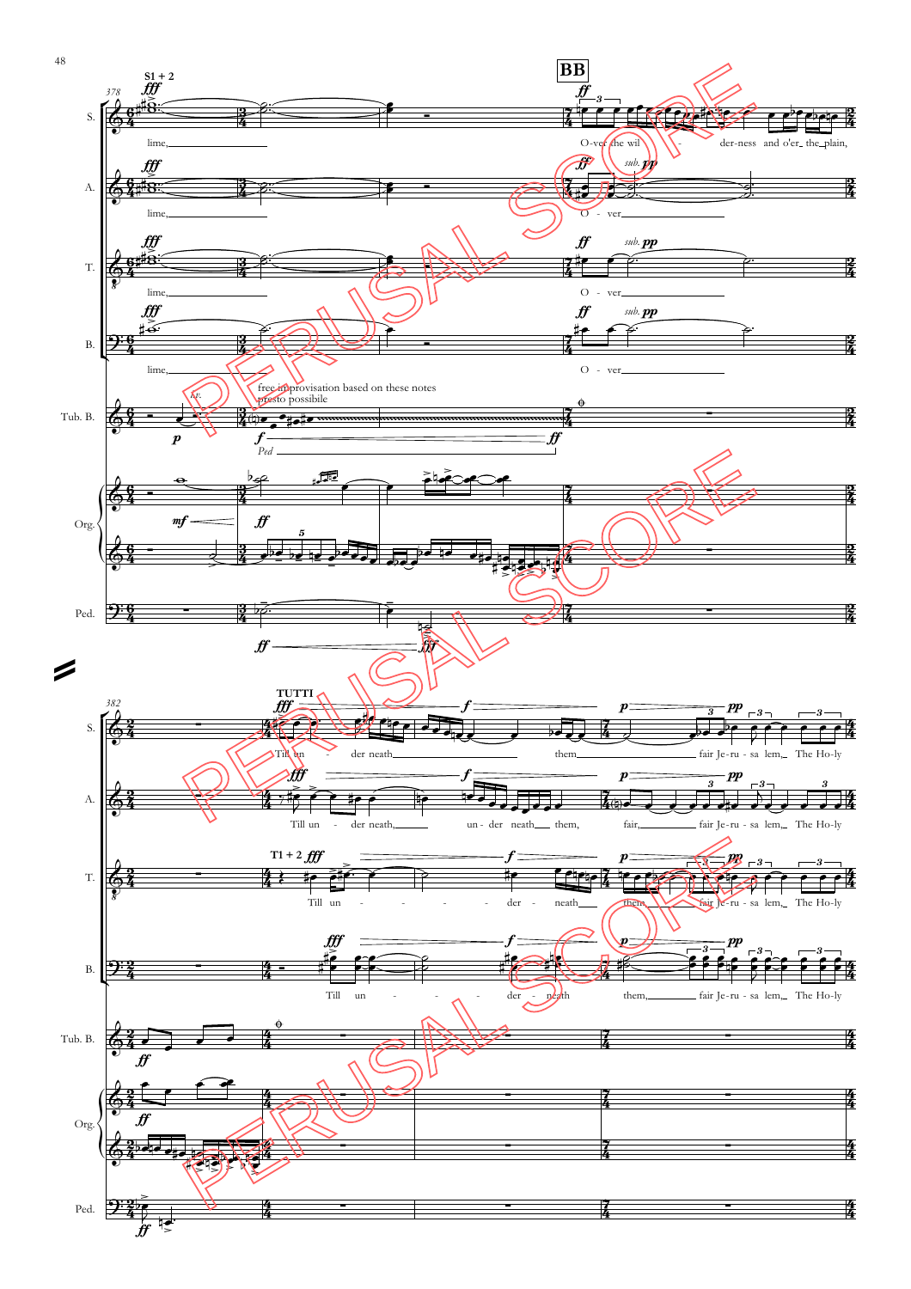![](_page_39_Figure_0.jpeg)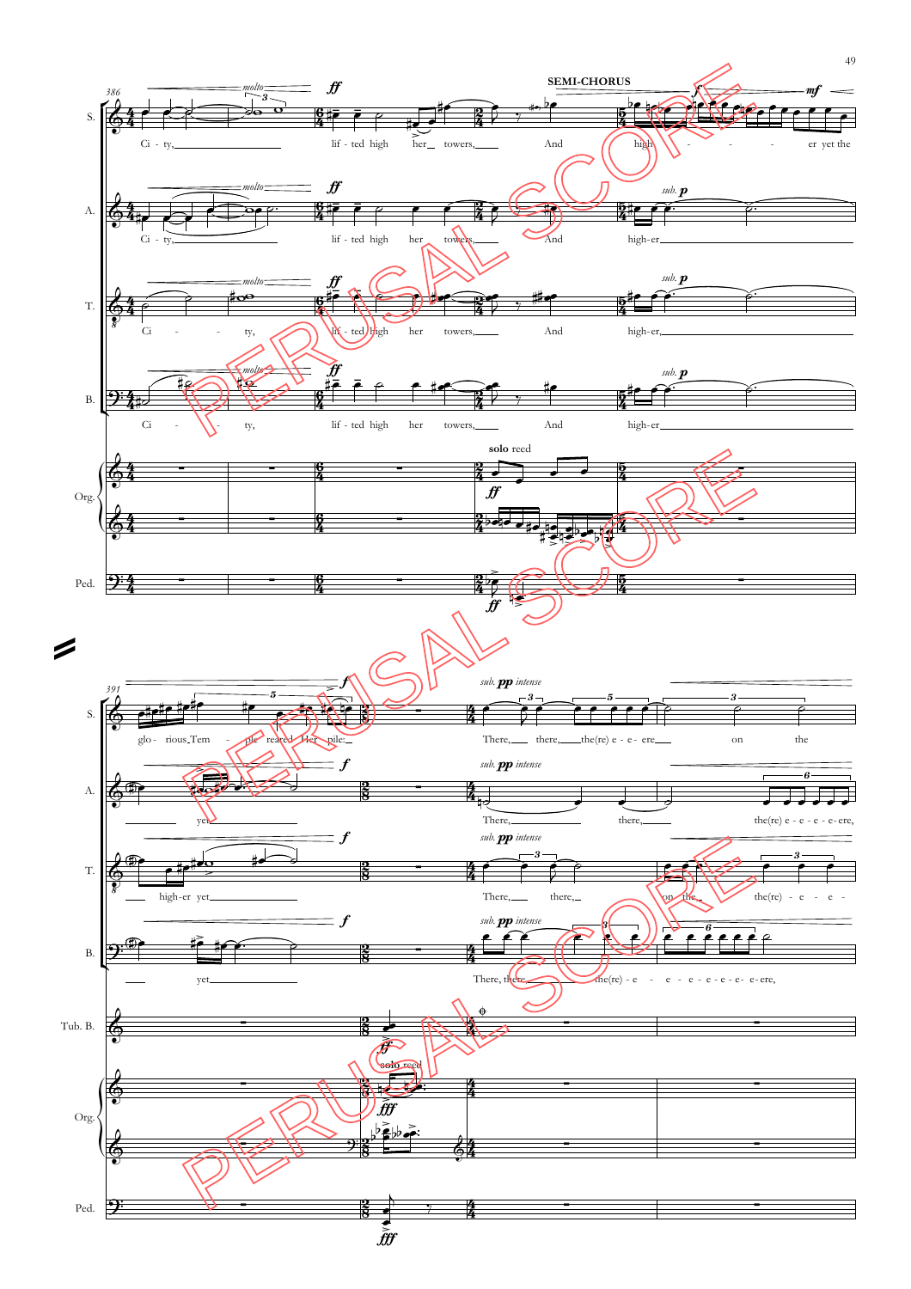![](_page_40_Figure_0.jpeg)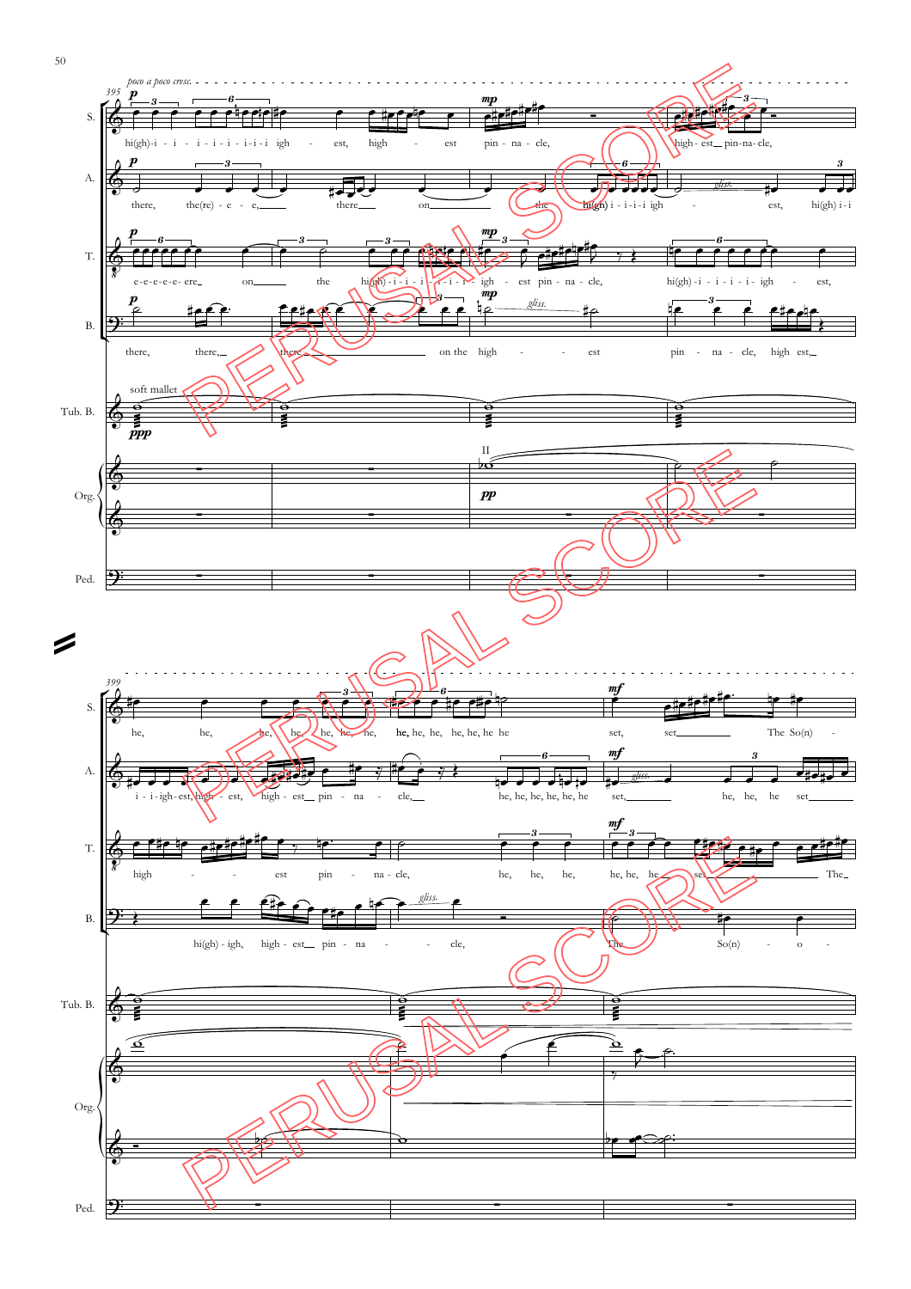![](_page_41_Figure_0.jpeg)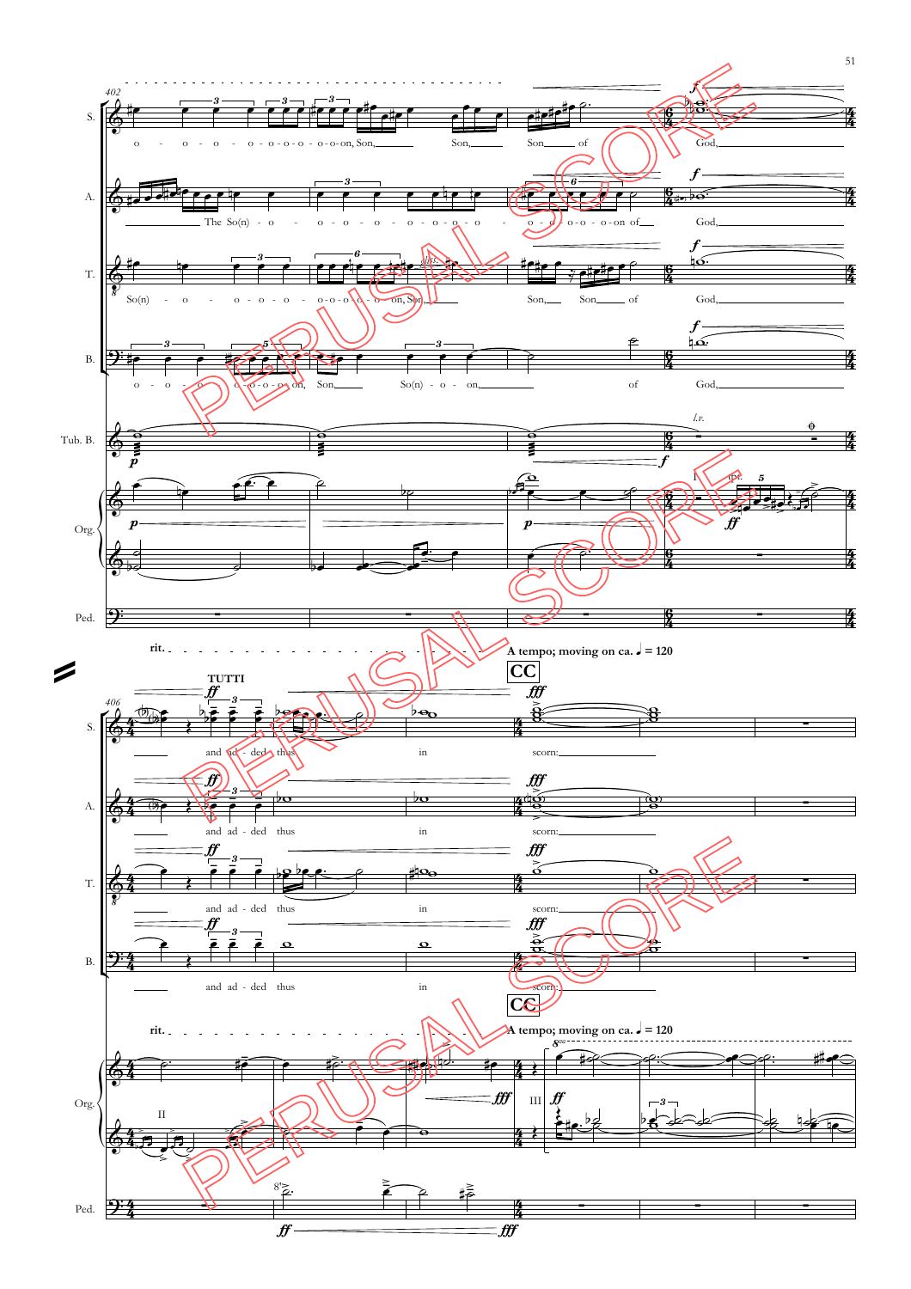![](_page_42_Figure_0.jpeg)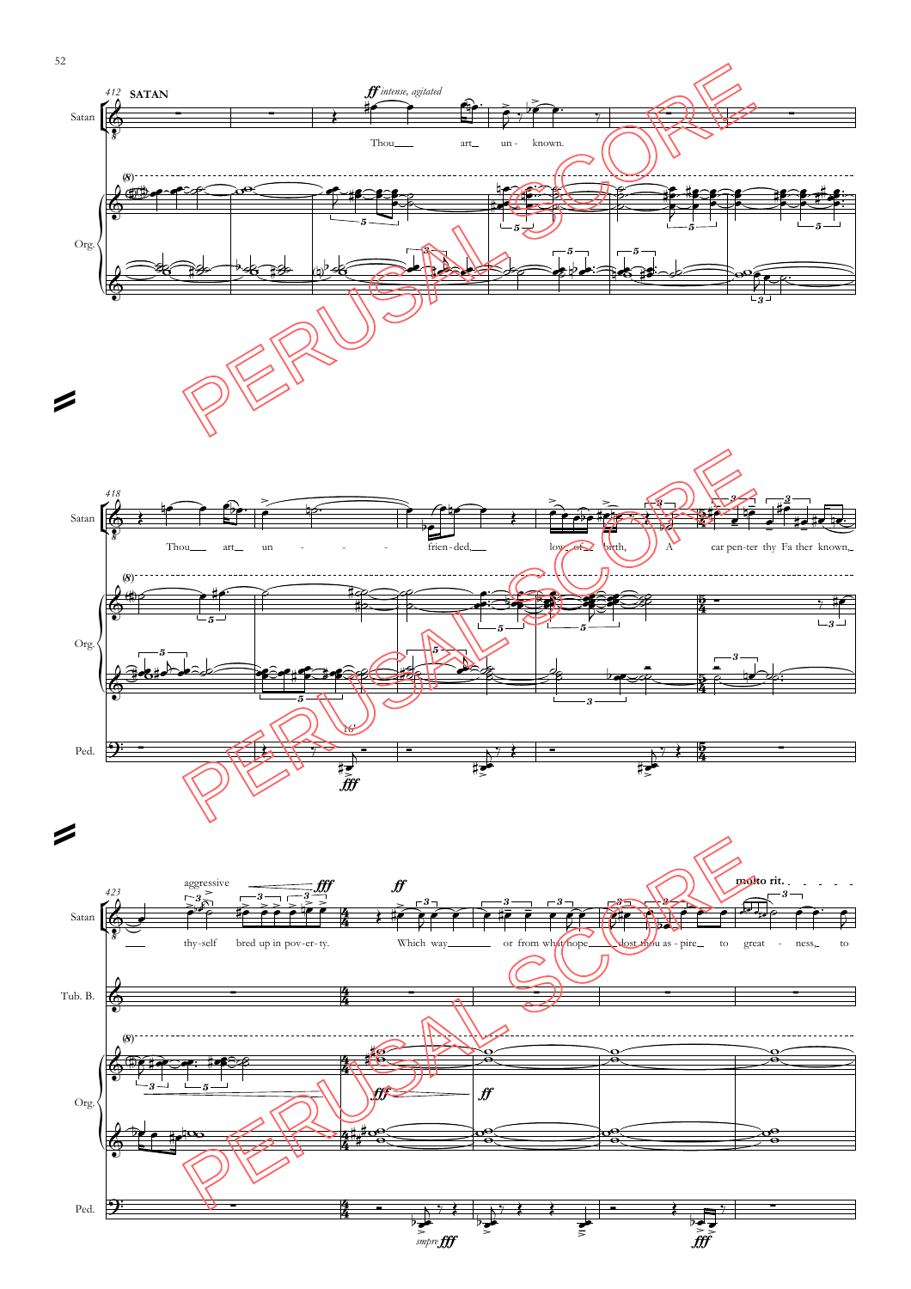![](_page_43_Figure_0.jpeg)

![](_page_43_Figure_1.jpeg)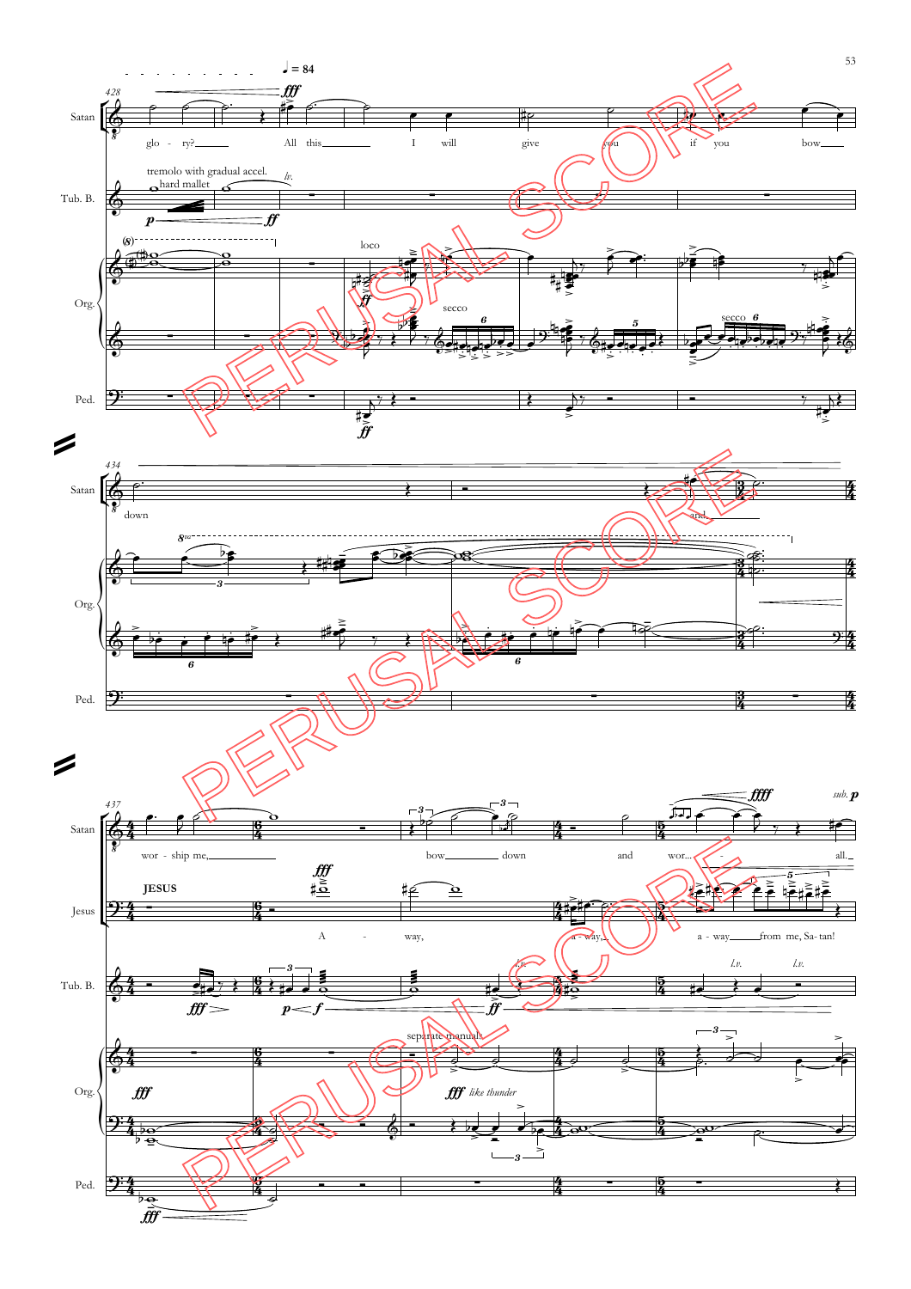![](_page_44_Figure_0.jpeg)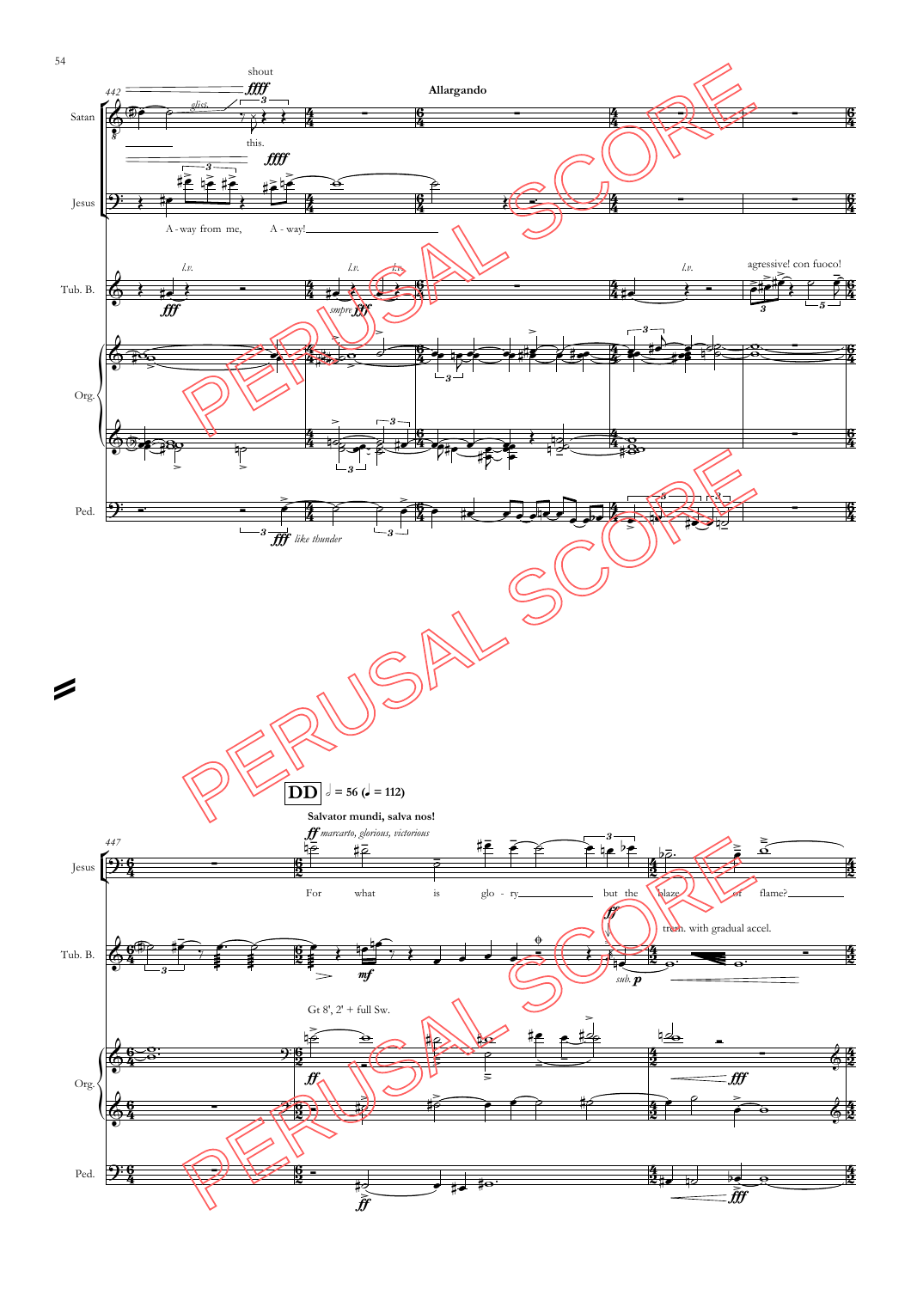![](_page_45_Figure_0.jpeg)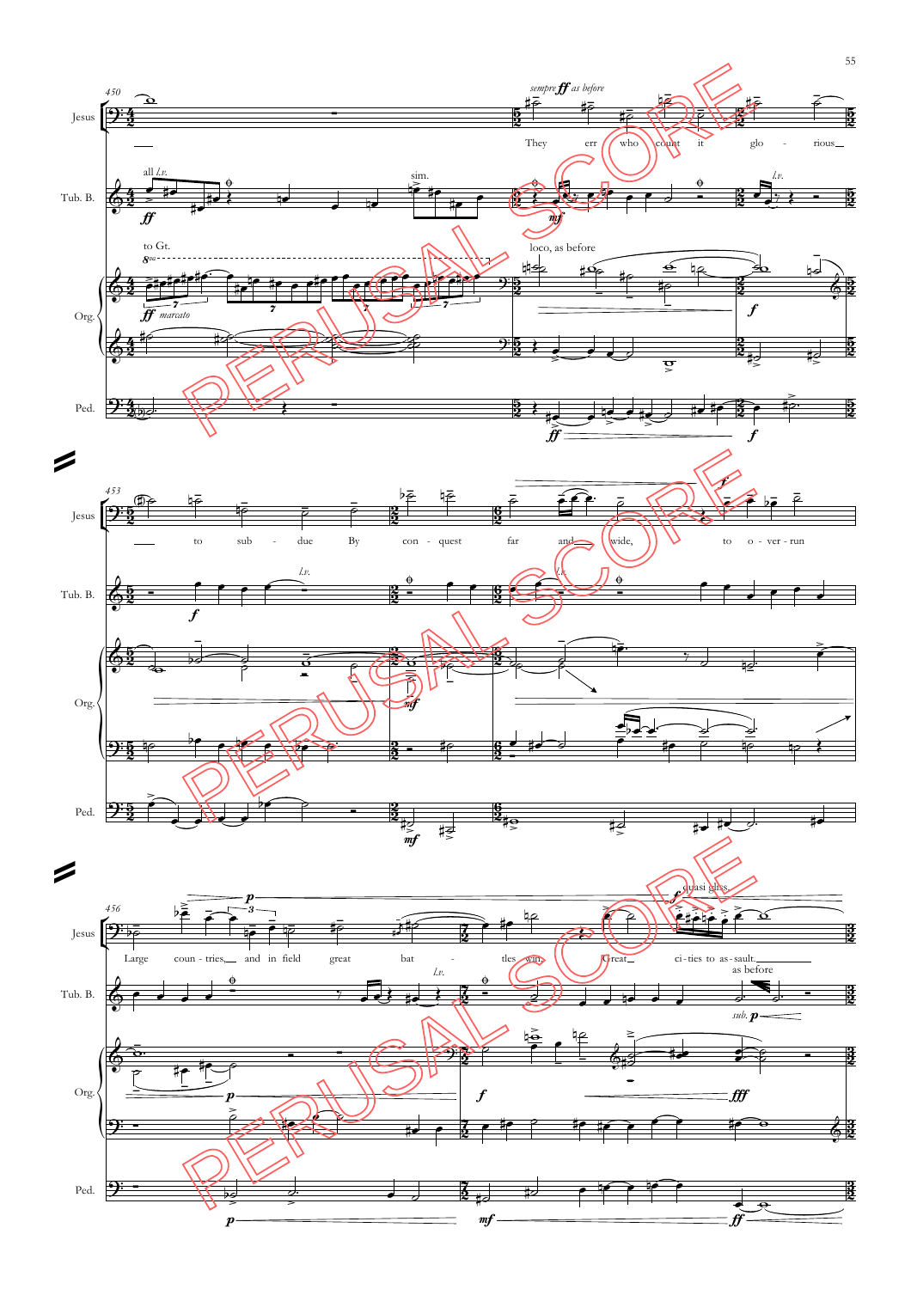![](_page_46_Figure_0.jpeg)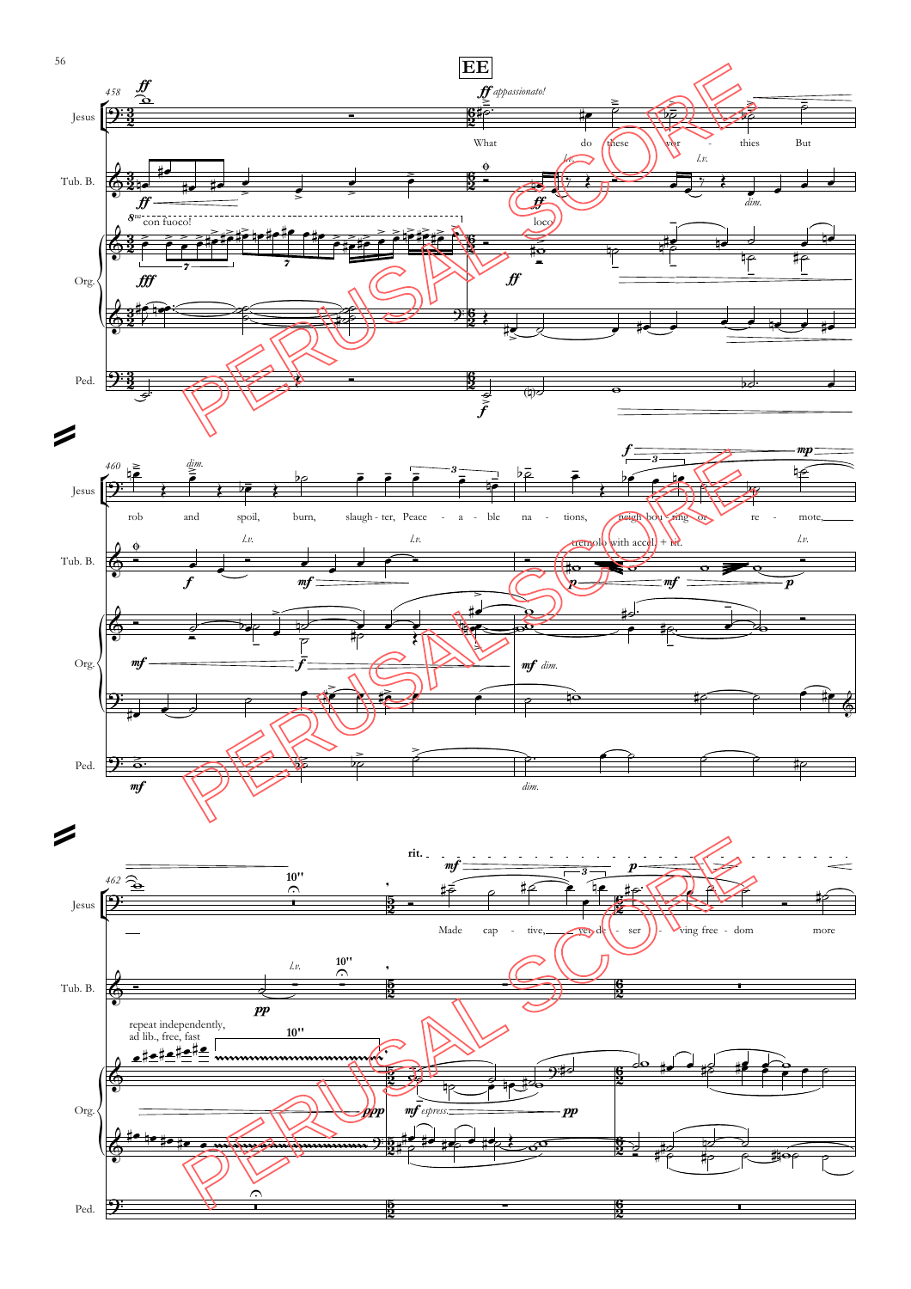![](_page_47_Figure_0.jpeg)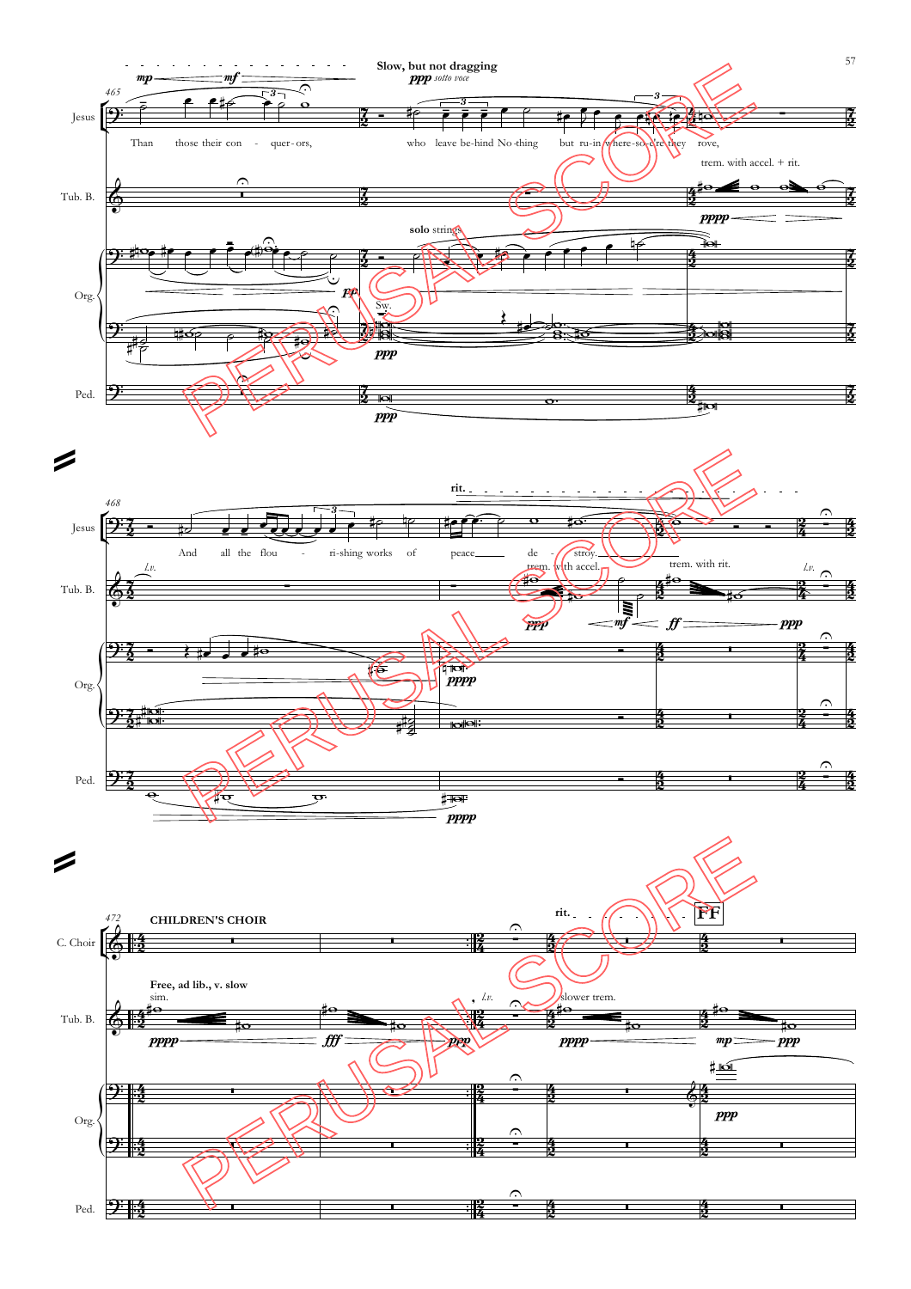![](_page_48_Figure_0.jpeg)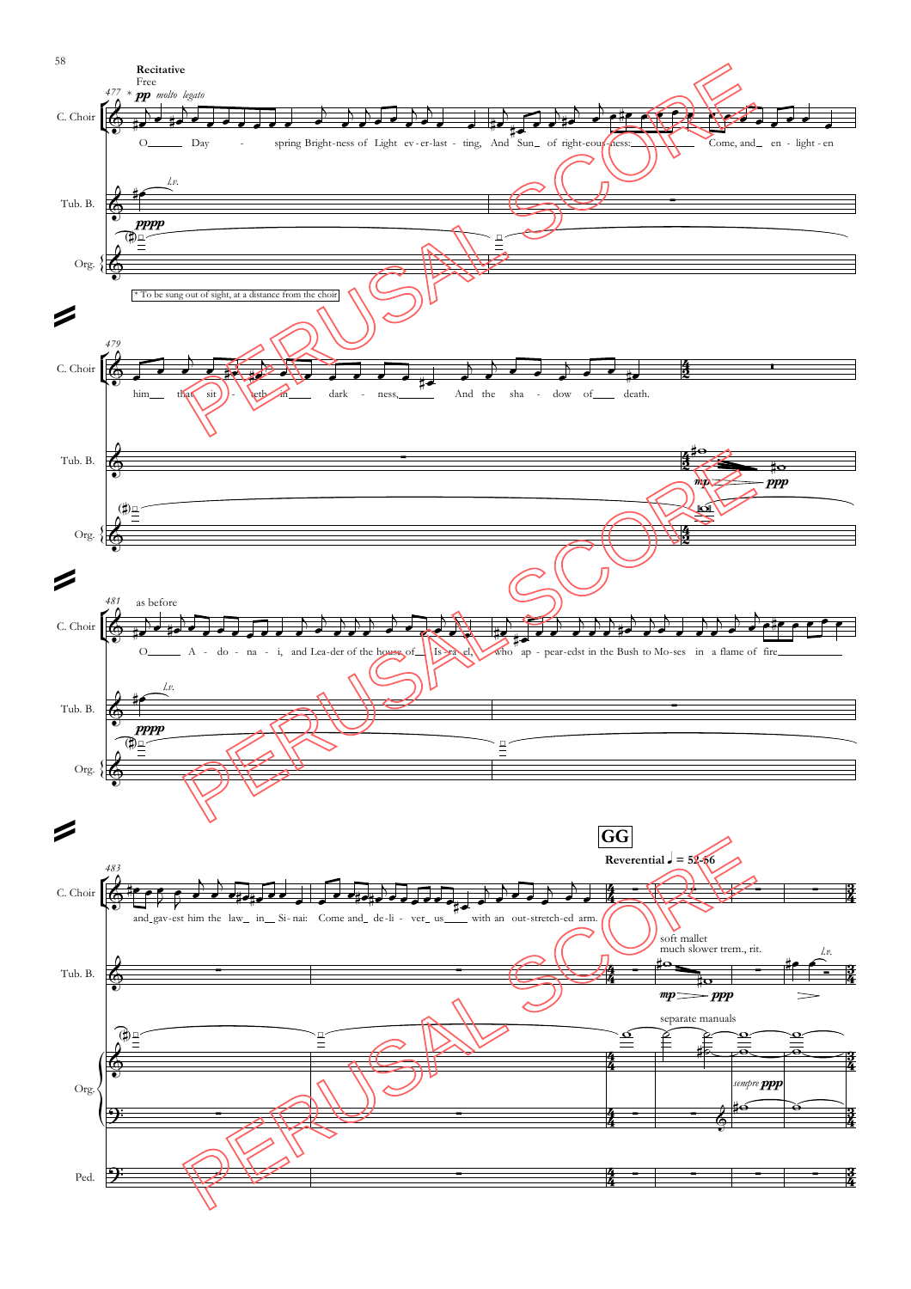![](_page_49_Figure_0.jpeg)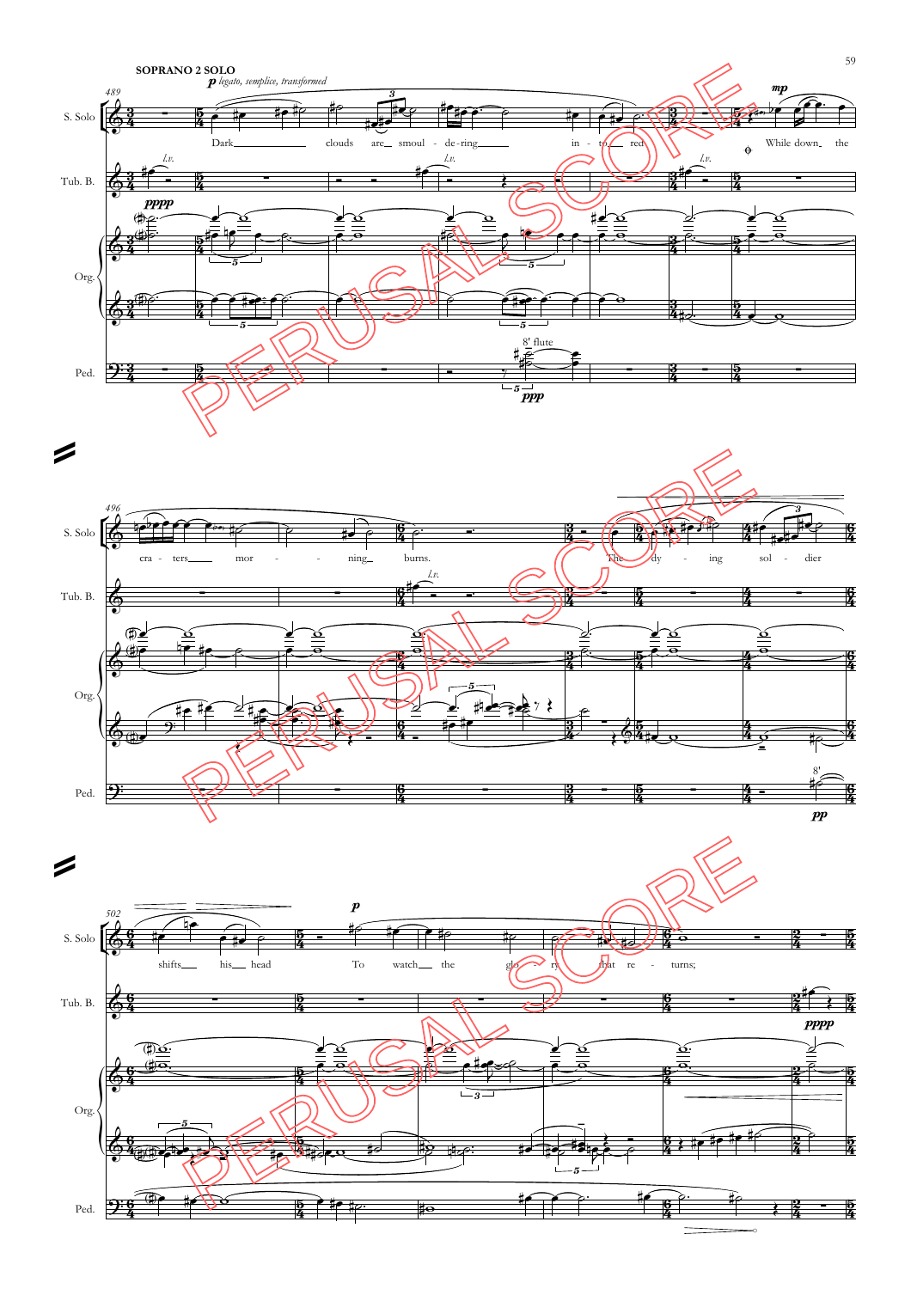![](_page_50_Figure_0.jpeg)

![](_page_50_Figure_1.jpeg)

![](_page_50_Figure_2.jpeg)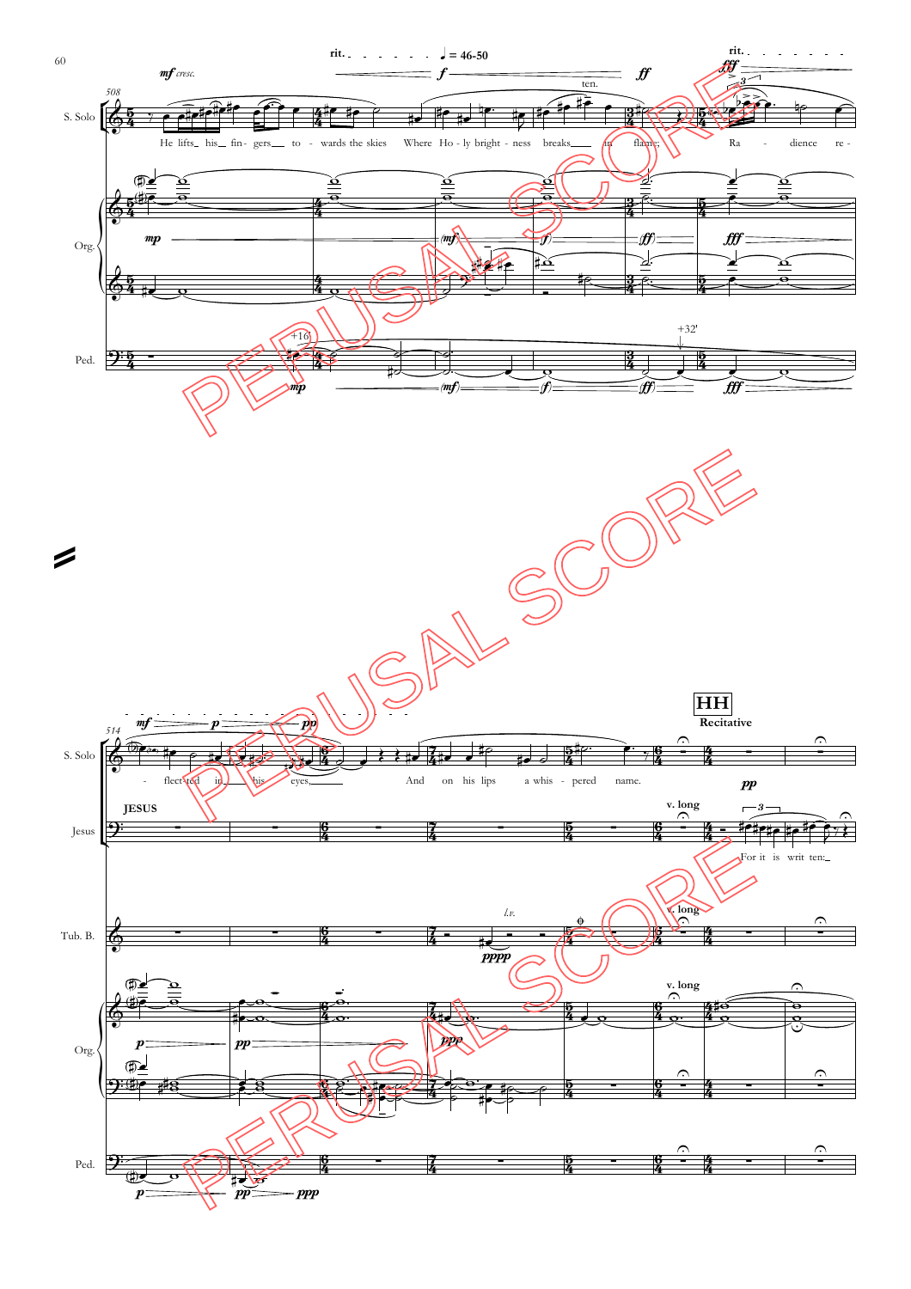![](_page_51_Figure_0.jpeg)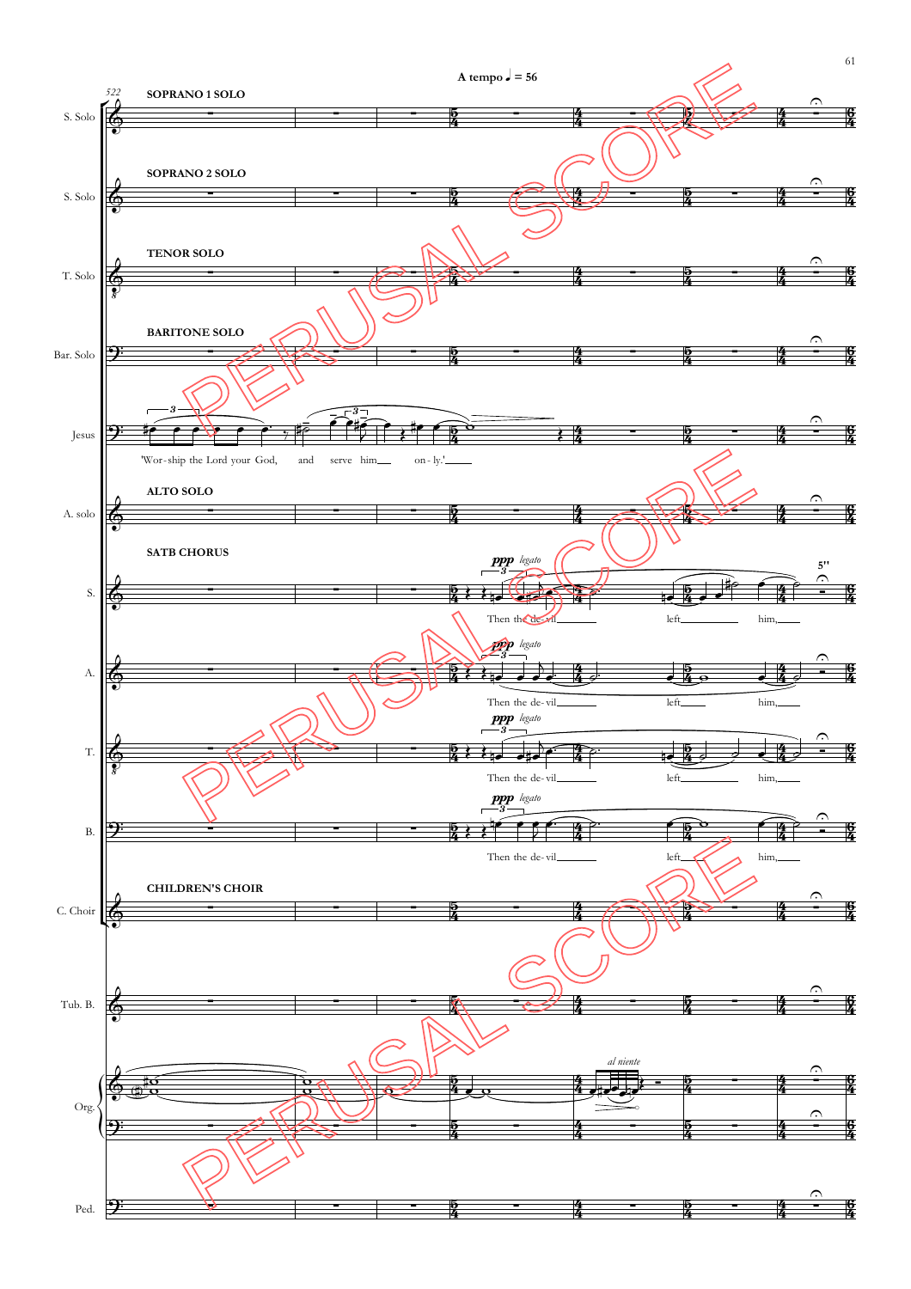![](_page_52_Figure_0.jpeg)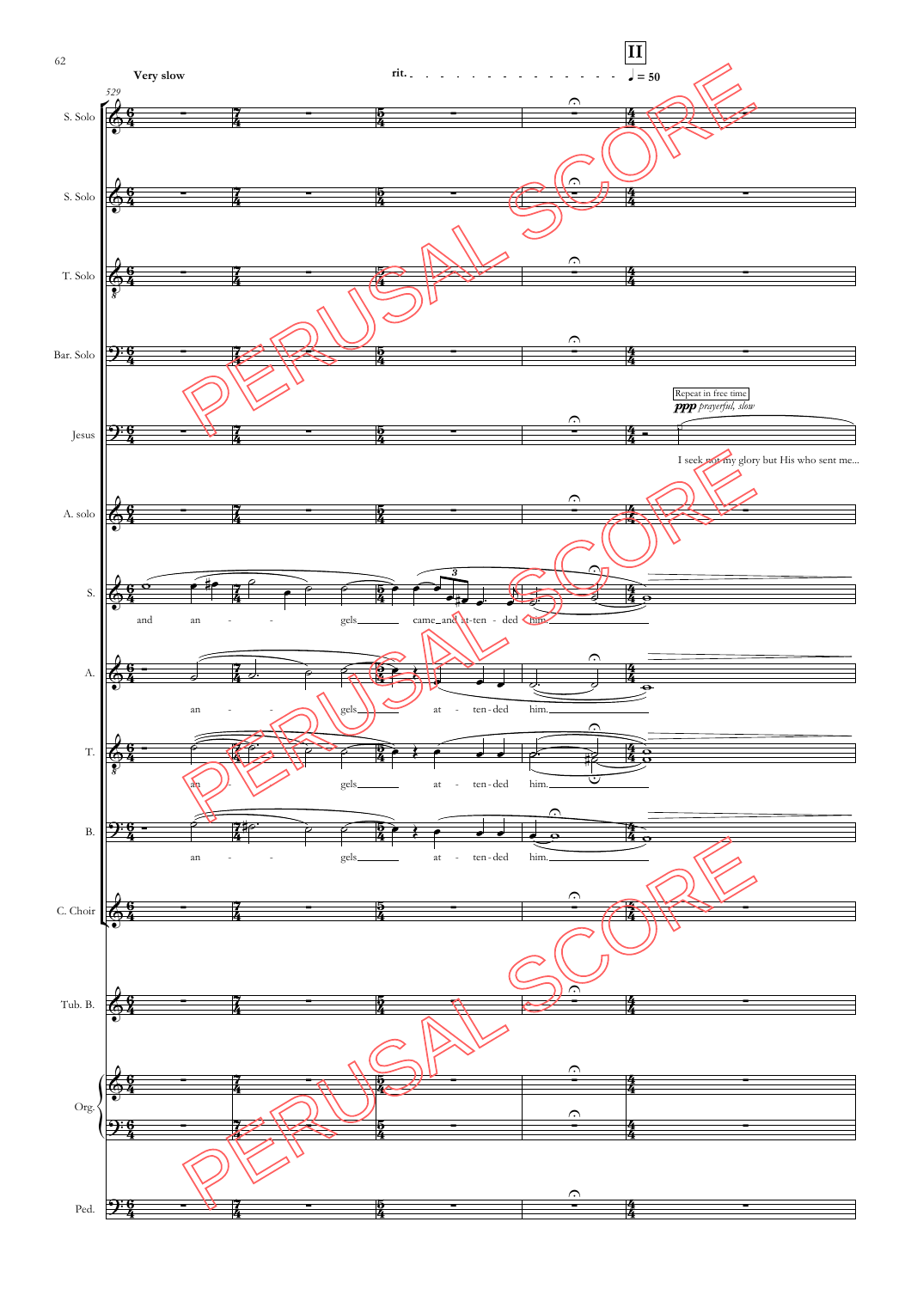![](_page_53_Figure_0.jpeg)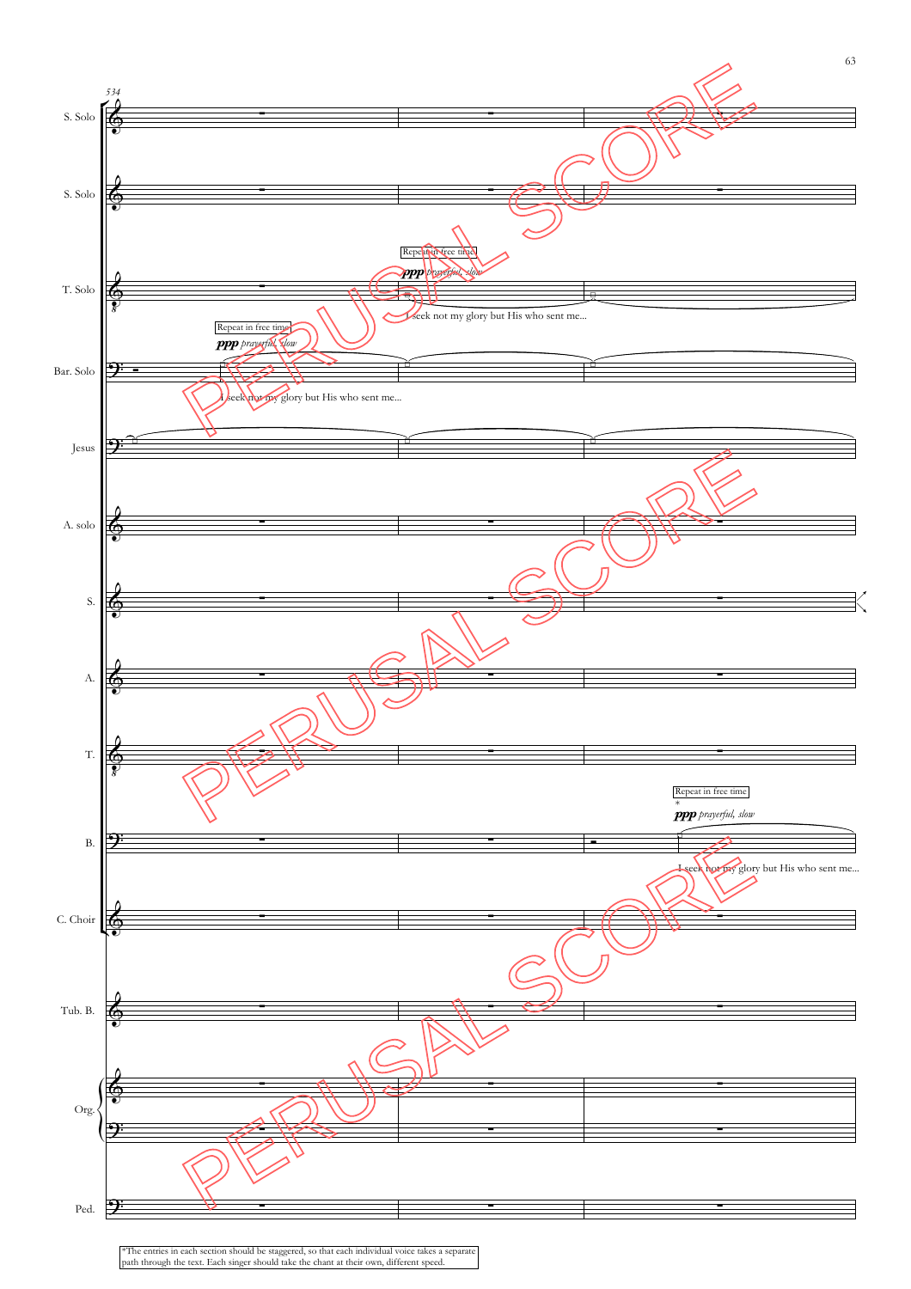![](_page_54_Figure_0.jpeg)

\*The entries in each section should be staggered, so that each individual voice takes a separate path through the text. Each singer should take the chant at their own, different speed.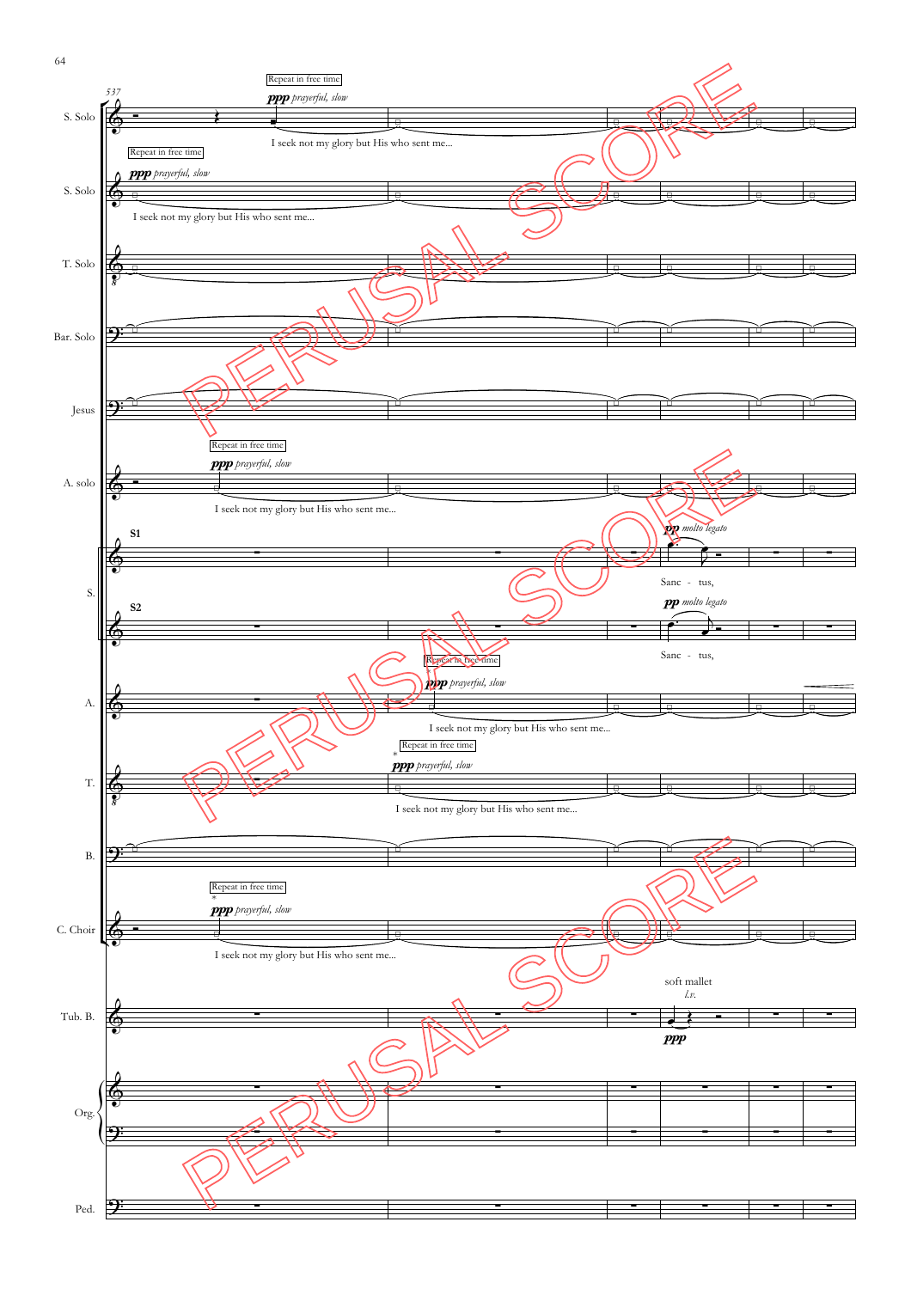![](_page_55_Figure_0.jpeg)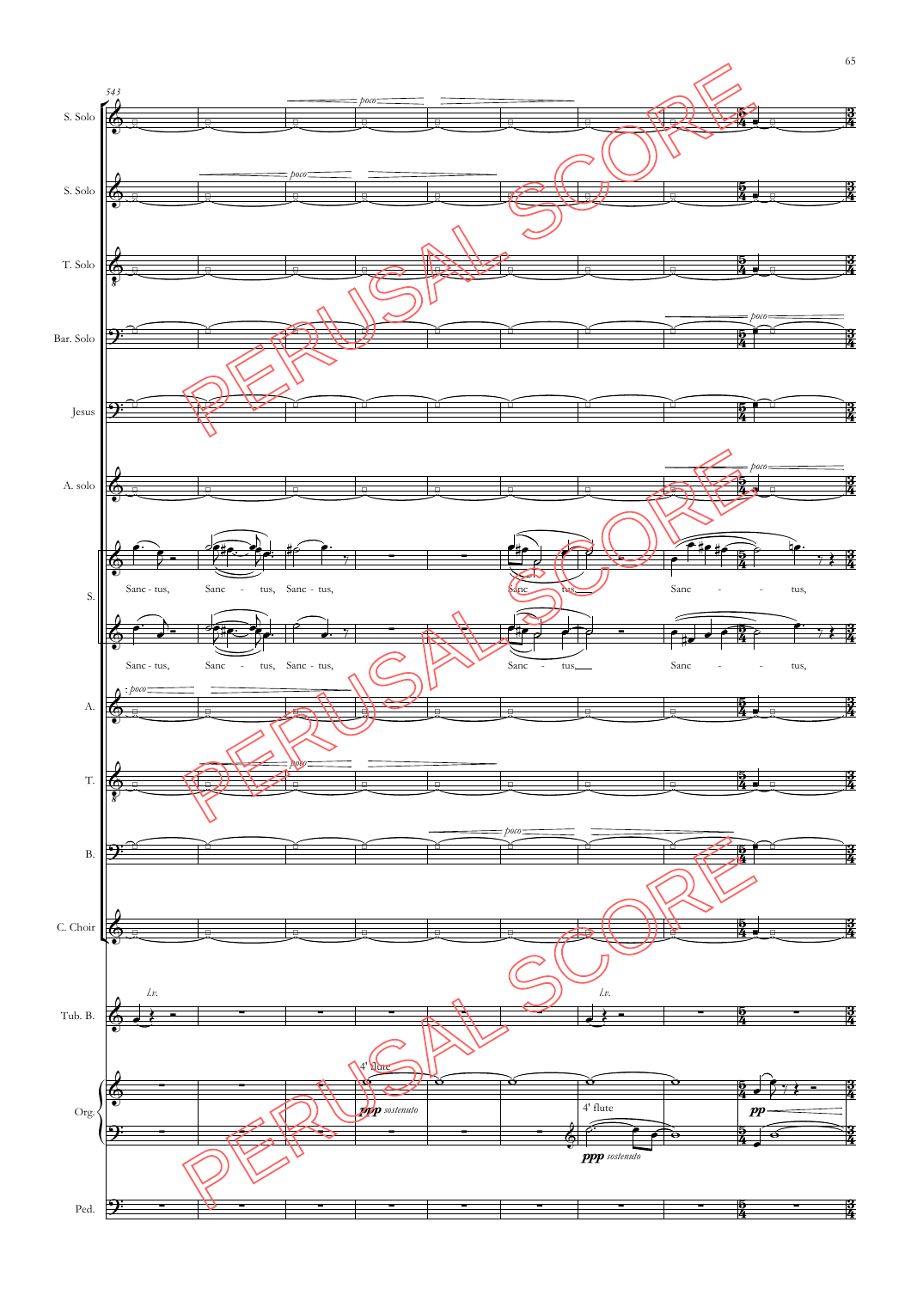![](_page_56_Figure_0.jpeg)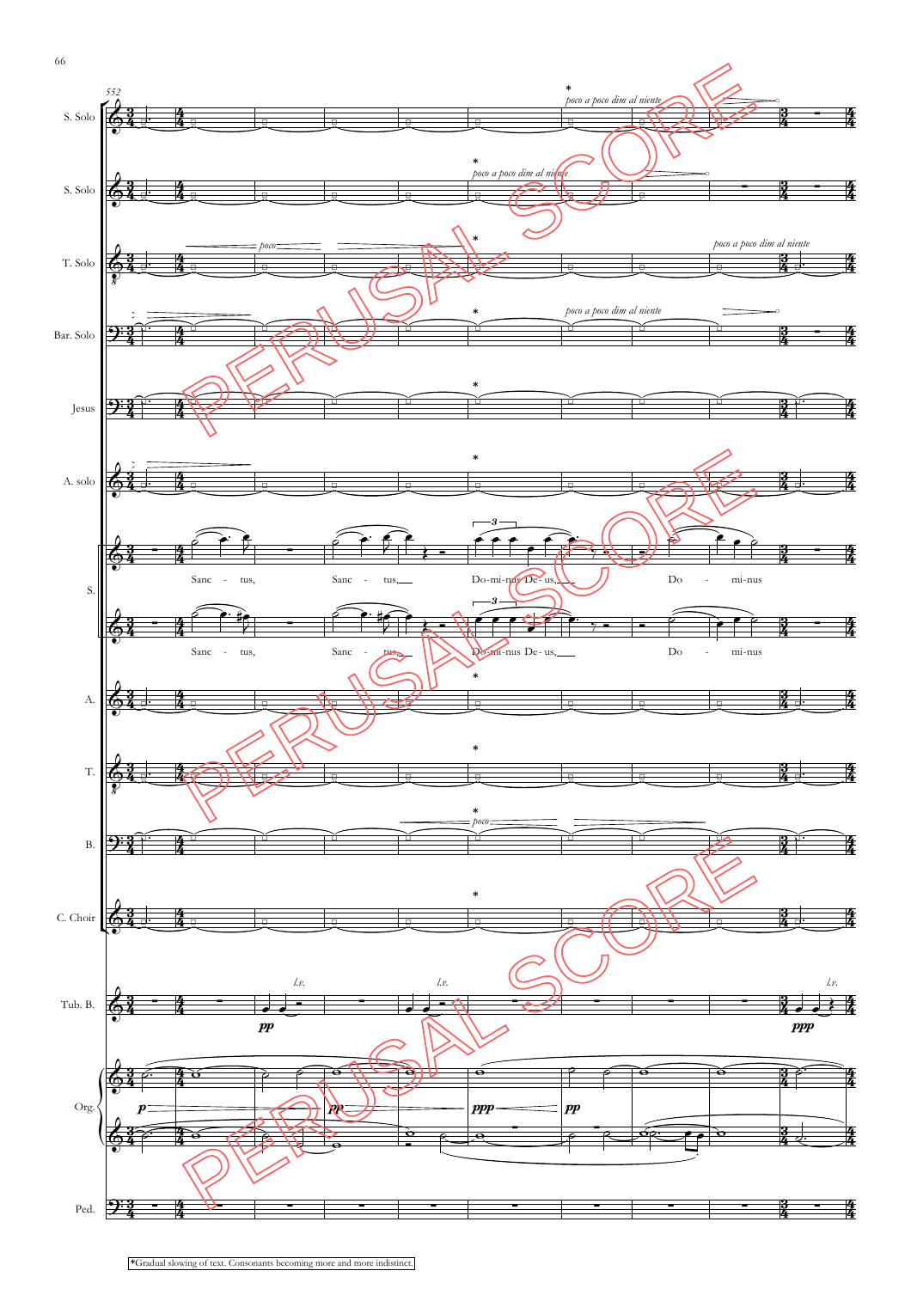![](_page_57_Figure_0.jpeg)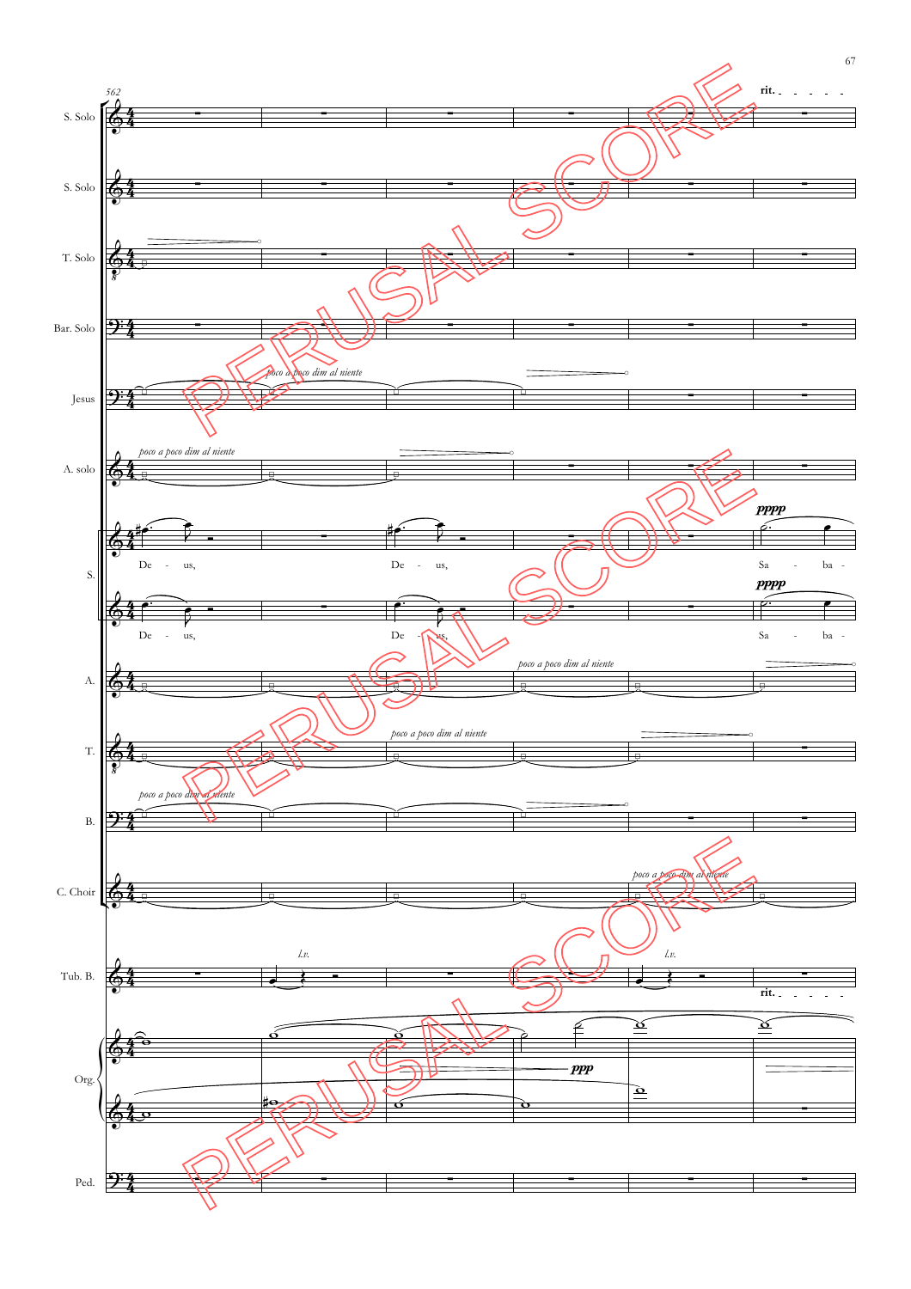![](_page_58_Figure_0.jpeg)